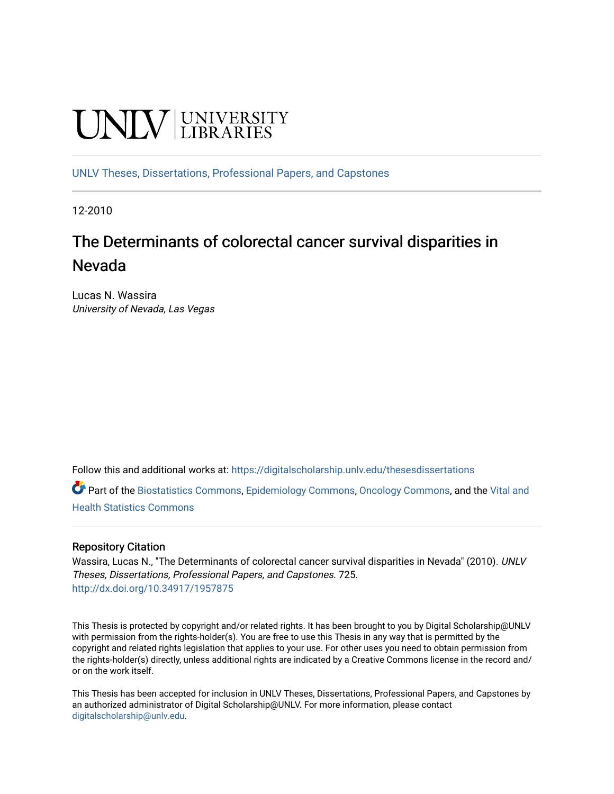# **UNIVERSITY**

[UNLV Theses, Dissertations, Professional Papers, and Capstones](https://digitalscholarship.unlv.edu/thesesdissertations)

12-2010

# The Determinants of colorectal cancer survival disparities in Nevada

Lucas N. Wassira University of Nevada, Las Vegas

Follow this and additional works at: [https://digitalscholarship.unlv.edu/thesesdissertations](https://digitalscholarship.unlv.edu/thesesdissertations?utm_source=digitalscholarship.unlv.edu%2Fthesesdissertations%2F725&utm_medium=PDF&utm_campaign=PDFCoverPages)

Part of the [Biostatistics Commons,](http://network.bepress.com/hgg/discipline/210?utm_source=digitalscholarship.unlv.edu%2Fthesesdissertations%2F725&utm_medium=PDF&utm_campaign=PDFCoverPages) [Epidemiology Commons](http://network.bepress.com/hgg/discipline/740?utm_source=digitalscholarship.unlv.edu%2Fthesesdissertations%2F725&utm_medium=PDF&utm_campaign=PDFCoverPages), [Oncology Commons,](http://network.bepress.com/hgg/discipline/694?utm_source=digitalscholarship.unlv.edu%2Fthesesdissertations%2F725&utm_medium=PDF&utm_campaign=PDFCoverPages) and the [Vital and](http://network.bepress.com/hgg/discipline/826?utm_source=digitalscholarship.unlv.edu%2Fthesesdissertations%2F725&utm_medium=PDF&utm_campaign=PDFCoverPages)  [Health Statistics Commons](http://network.bepress.com/hgg/discipline/826?utm_source=digitalscholarship.unlv.edu%2Fthesesdissertations%2F725&utm_medium=PDF&utm_campaign=PDFCoverPages) 

# Repository Citation

Wassira, Lucas N., "The Determinants of colorectal cancer survival disparities in Nevada" (2010). UNLV Theses, Dissertations, Professional Papers, and Capstones. 725. <http://dx.doi.org/10.34917/1957875>

This Thesis is protected by copyright and/or related rights. It has been brought to you by Digital Scholarship@UNLV with permission from the rights-holder(s). You are free to use this Thesis in any way that is permitted by the copyright and related rights legislation that applies to your use. For other uses you need to obtain permission from the rights-holder(s) directly, unless additional rights are indicated by a Creative Commons license in the record and/ or on the work itself.

This Thesis has been accepted for inclusion in UNLV Theses, Dissertations, Professional Papers, and Capstones by an authorized administrator of Digital Scholarship@UNLV. For more information, please contact [digitalscholarship@unlv.edu](mailto:digitalscholarship@unlv.edu).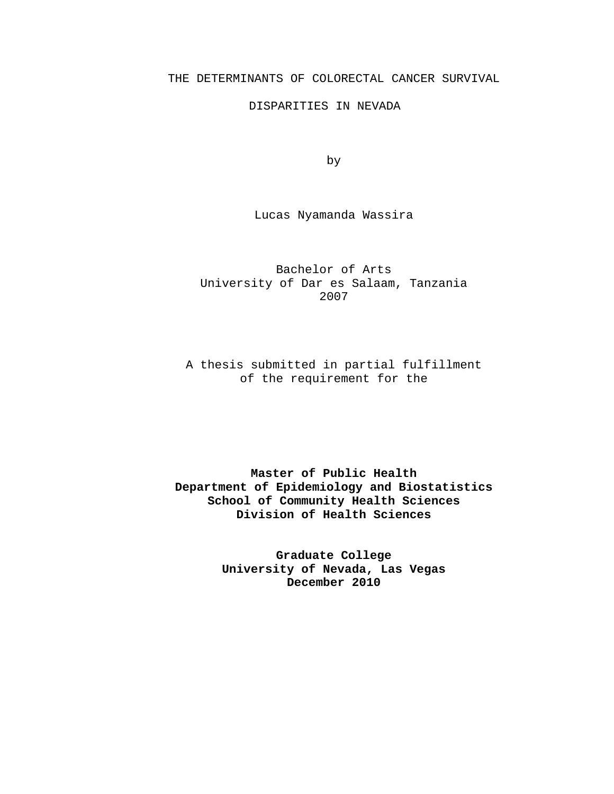#### THE DETERMINANTS OF COLORECTAL CANCER SURVIVAL

#### DISPARITIES IN NEVADA

by

Lucas Nyamanda Wassira

Bachelor of Arts University of Dar es Salaam, Tanzania 2007

A thesis submitted in partial fulfillment of the requirement for the

**Master of Public Health Department of Epidemiology and Biostatistics School of Community Health Sciences Division of Health Sciences**

> **Graduate College University of Nevada, Las Vegas December 2010**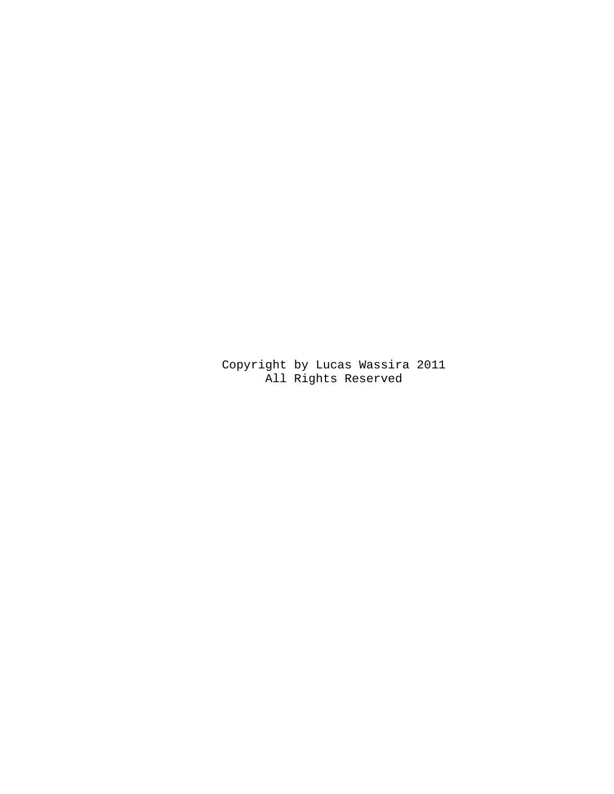Copyright by Lucas Wassira 2011 All Rights Reserved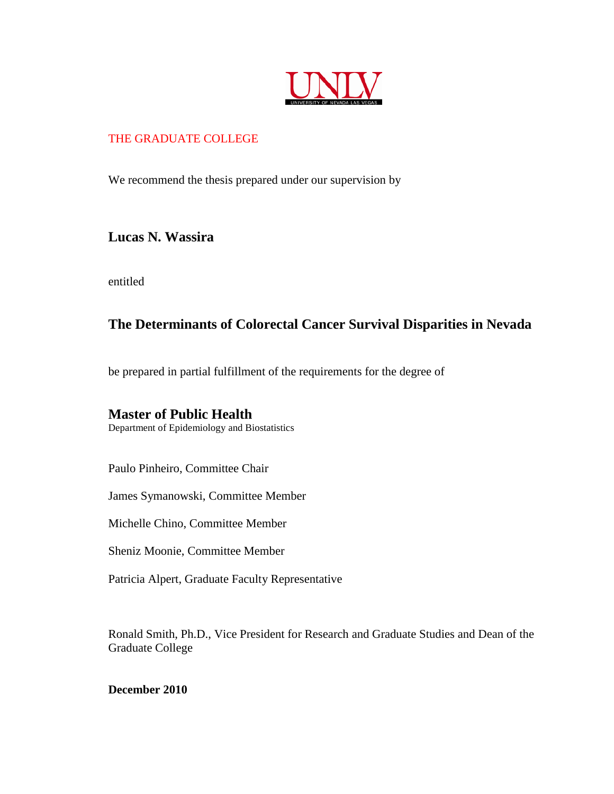

# THE GRADUATE COLLEGE

We recommend the thesis prepared under our supervision by

# **Lucas N. Wassira**

entitled

# **The Determinants of Colorectal Cancer Survival Disparities in Nevada**

be prepared in partial fulfillment of the requirements for the degree of

# **Master of Public Health**

Department of Epidemiology and Biostatistics

Paulo Pinheiro, Committee Chair

James Symanowski, Committee Member

Michelle Chino, Committee Member

Sheniz Moonie, Committee Member

Patricia Alpert, Graduate Faculty Representative

Ronald Smith, Ph.D., Vice President for Research and Graduate Studies and Dean of the Graduate College

**December 2010**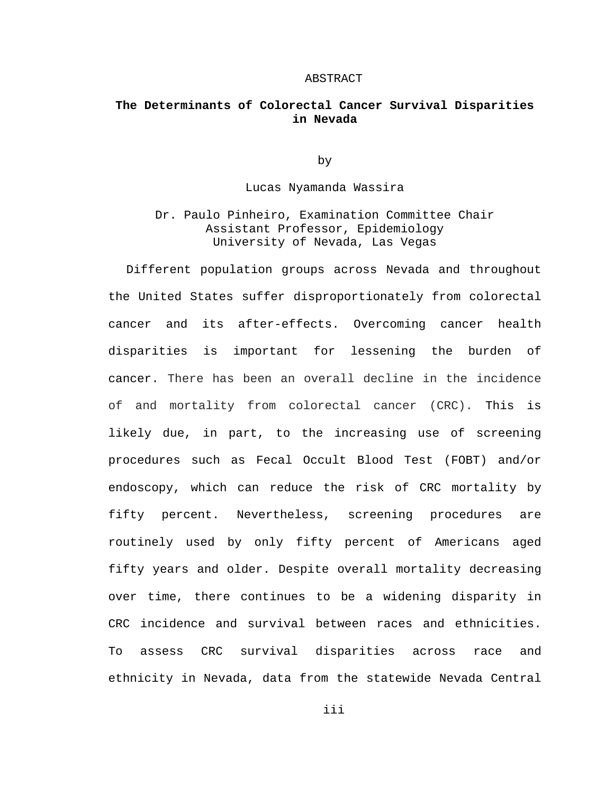#### ABSTRACT

## **The Determinants of Colorectal Cancer Survival Disparities in Nevada**

by

Lucas Nyamanda Wassira

Dr. Paulo Pinheiro, Examination Committee Chair Assistant Professor, Epidemiology University of Nevada, Las Vegas

Different population groups across Nevada and throughout the United States suffer disproportionately from colorectal cancer and its after-effects. Overcoming cancer health disparities is important for lessening the burden of cancer. There has been an overall decline in the incidence of and mortality from colorectal cancer (CRC). This is likely due, in part, to the increasing use of screening procedures such as Fecal Occult Blood Test (FOBT) and/or endoscopy, which can reduce the risk of CRC mortality by fifty percent. Nevertheless, screening procedures are routinely used by only fifty percent of Americans aged fifty years and older. Despite overall mortality decreasing over time, there continues to be a widening disparity in CRC incidence and survival between races and ethnicities. To assess CRC survival disparities across race and ethnicity in Nevada, data from the statewide Nevada Central

iii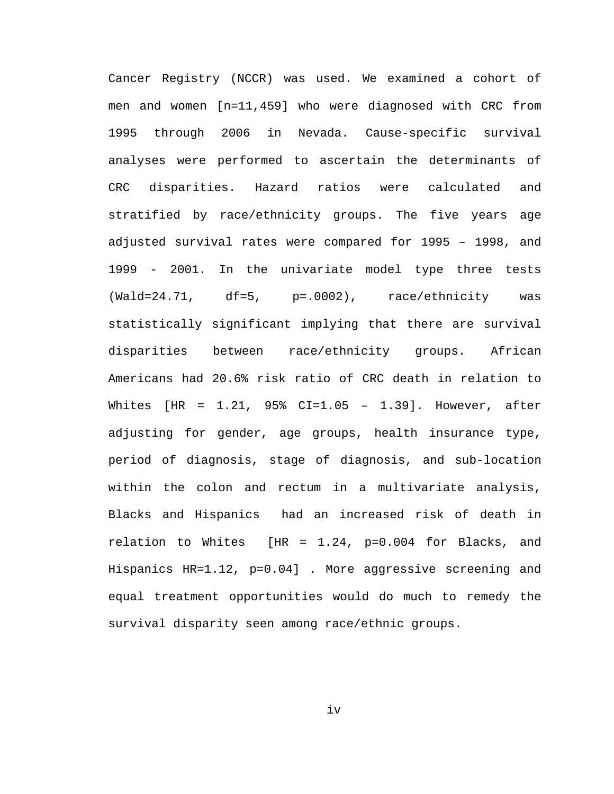Cancer Registry (NCCR) was used. We examined a cohort of men and women [n=11,459] who were diagnosed with CRC from 1995 through 2006 in Nevada. Cause-specific survival analyses were performed to ascertain the determinants of CRC disparities. Hazard ratios were calculated and stratified by race/ethnicity groups. The five years age adjusted survival rates were compared for 1995 – 1998, and 1999 - 2001. In the univariate model type three tests (Wald=24.71, df=5, p=.0002), race/ethnicity was statistically significant implying that there are survival disparities between race/ethnicity groups. African Americans had 20.6% risk ratio of CRC death in relation to Whites [HR = 1.21, 95% CI=1.05 – 1.39]. However, after adjusting for gender, age groups, health insurance type, period of diagnosis, stage of diagnosis, and sub-location within the colon and rectum in a multivariate analysis, Blacks and Hispanics had an increased risk of death in relation to Whites [HR = 1.24, p=0.004 for Blacks, and Hispanics HR=1.12, p=0.04] . More aggressive screening and equal treatment opportunities would do much to remedy the survival disparity seen among race/ethnic groups.

iv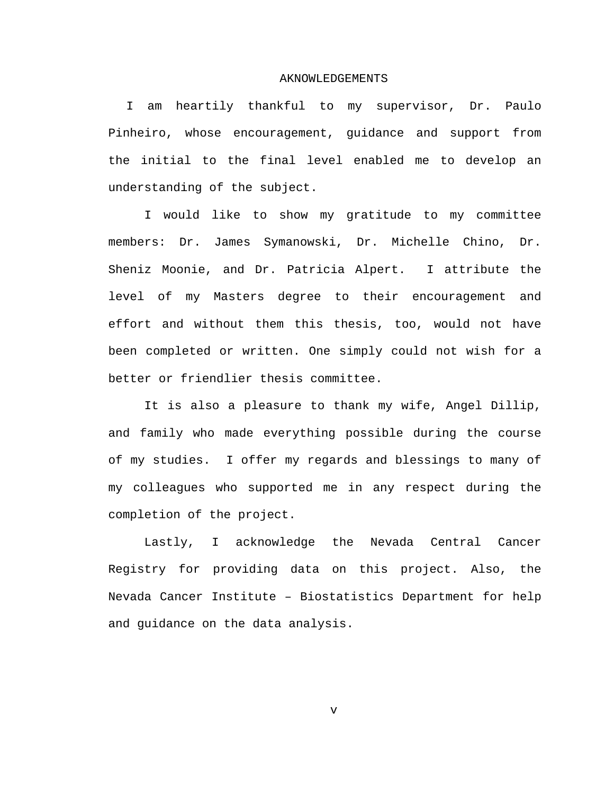#### AKNOWLEDGEMENTS

I am heartily thankful to my supervisor, Dr. Paulo Pinheiro, whose encouragement, guidance and support from the initial to the final level enabled me to develop an understanding of the subject.

I would like to show my gratitude to my committee members: Dr. James Symanowski, Dr. Michelle Chino, Dr. Sheniz Moonie, and Dr. Patricia Alpert. I attribute the level of my Masters degree to their encouragement and effort and without them this thesis, too, would not have been completed or written. One simply could not wish for a better or friendlier thesis committee.

It is also a pleasure to thank my wife, Angel Dillip, and family who made everything possible during the course of my studies. I offer my regards and blessings to many of my colleagues who supported me in any respect during the completion of the project.

Lastly, I acknowledge the Nevada Central Cancer Registry for providing data on this project. Also, the Nevada Cancer Institute – Biostatistics Department for help and guidance on the data analysis.

 $\overline{v}$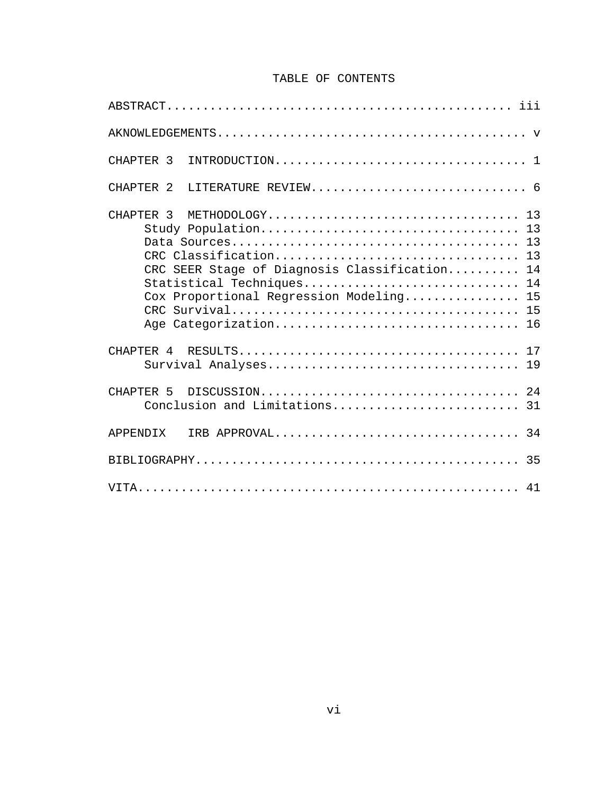# TABLE OF CONTENTS

| CHAPTER <sub>3</sub>                                                                                                                                                                  |
|---------------------------------------------------------------------------------------------------------------------------------------------------------------------------------------|
| LITERATURE REVIEW 6<br>CHAPTER <sub>2</sub>                                                                                                                                           |
| CHAPTER <sub>3</sub><br>CRC SEER Stage of Diagnosis Classification<br>14<br>Statistical Techniques<br>14<br>15<br>Cox Proportional Regression Modeling<br>15<br>Age Categorization 16 |
|                                                                                                                                                                                       |
| CHAPTER <sub>5</sub>                                                                                                                                                                  |
| <b>APPENDIX</b>                                                                                                                                                                       |
|                                                                                                                                                                                       |
|                                                                                                                                                                                       |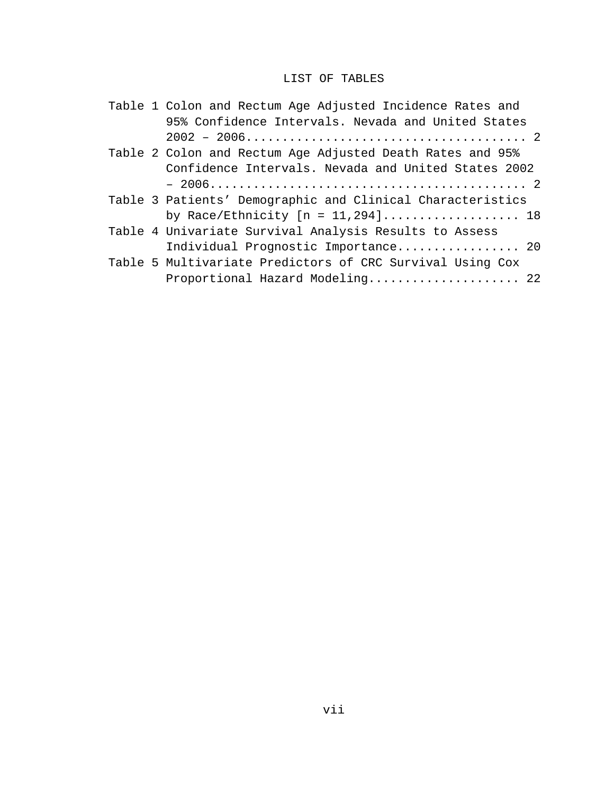# LIST OF TABLES

|  | Table 1 Colon and Rectum Age Adjusted Incidence Rates and                      |
|--|--------------------------------------------------------------------------------|
|  | 95% Confidence Intervals. Nevada and United States                             |
|  |                                                                                |
|  | Table 2 Colon and Rectum Age Adjusted Death Rates and 95%                      |
|  | Confidence Intervals. Nevada and United States 2002                            |
|  |                                                                                |
|  | Table 3 Patients' Demographic and Clinical Characteristics                     |
|  | by Race/Ethnicity $[n = 11, 294] \ldots \ldots \ldots \ldots \ldots \ldots 18$ |
|  | Table 4 Univariate Survival Analysis Results to Assess                         |
|  | Individual Prognostic Importance 20                                            |
|  | Table 5 Multivariate Predictors of CRC Survival Using Cox                      |
|  | Proportional Hazard Modeling 22                                                |
|  |                                                                                |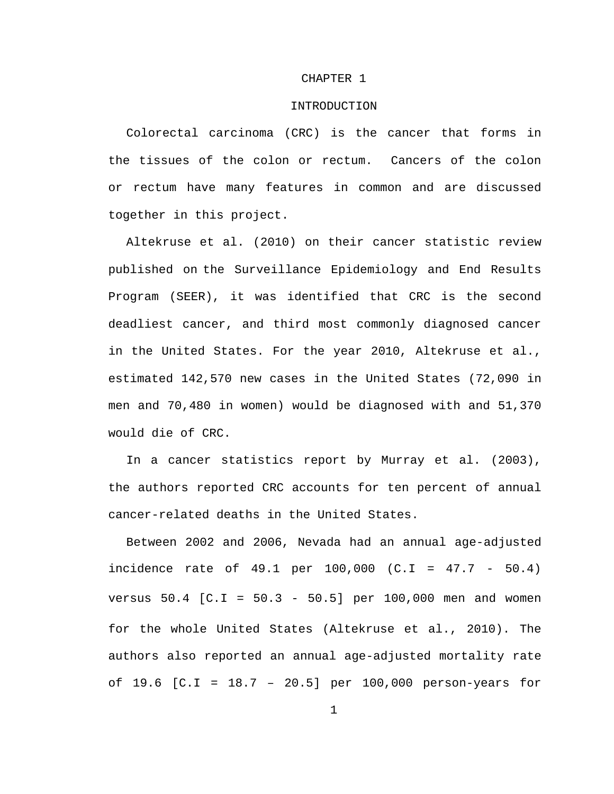#### CHAPTER 1

#### INTRODUCTION

Colorectal carcinoma (CRC) is the cancer that forms in the tissues of the colon or rectum. Cancers of the colon or rectum have many features in common and are discussed together in this project.

Altekruse et al. (2010) on their cancer statistic review published on the Surveillance Epidemiology and End Results Program (SEER), it was identified that CRC is the second deadliest cancer, and third most commonly diagnosed cancer in the United States. For the year 2010, Altekruse et al., estimated 142,570 new cases in the United States (72,090 in men and 70,480 in women) would be diagnosed with and 51,370 would die of CRC.

In a cancer statistics report by Murray et al. (2003), the authors reported CRC accounts for ten percent of annual cancer-related deaths in the United States.

Between 2002 and 2006, Nevada had an annual age-adjusted incidence rate of 49.1 per 100,000 (C.I = 47.7 - 50.4) versus 50.4 [C.I = 50.3 - 50.5] per 100,000 men and women for the whole United States (Altekruse et al., 2010). The authors also reported an annual age-adjusted mortality rate of 19.6 [C.I = 18.7 – 20.5] per 100,000 person-years for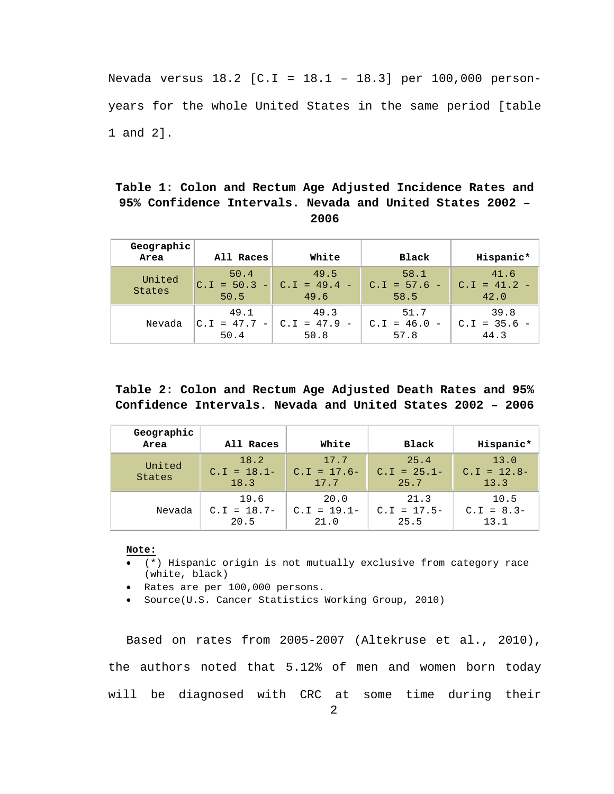Nevada versus 18.2 [C.I = 18.1 – 18.3] per 100,000 personyears for the whole United States in the same period [table 1 and 2].

# <span id="page-10-0"></span>**Table 1: Colon and Rectum Age Adjusted Incidence Rates and 95% Confidence Intervals. Nevada and United States 2002 – 2006**

| Geographic<br>Area | All Races                                                 | White                          | Black                                                    | Hispanic*                      |
|--------------------|-----------------------------------------------------------|--------------------------------|----------------------------------------------------------|--------------------------------|
| United<br>States   | 50.4<br>$C.I = 50.3 -$<br>50.5                            | 49.5<br>$C.I = 49.4 -$<br>49.6 | 58.1<br>$C.I = 57.6 -$<br>58.5                           | 41.6<br>$C.I = 41.2 -$<br>42.0 |
| Nevada             | 49.1<br>$ C.I = 47.7$<br>$\overline{\phantom{0}}$<br>50.4 | 49.3<br>$C.I = 47.9$<br>50.8   | 51.7<br>$C.I = 46.0$<br>$\overline{\phantom{m}}$<br>57.8 | 39.8<br>$C.I = 35.6 -$<br>44.3 |

# <span id="page-10-1"></span>**Table 2: Colon and Rectum Age Adjusted Death Rates and 95% Confidence Intervals. Nevada and United States 2002 – 2006**

| Geographic<br>Area | All Races                     | White                         | Black                          | Hispanic*                     |
|--------------------|-------------------------------|-------------------------------|--------------------------------|-------------------------------|
| United<br>States   | 18.2<br>$C.I = 18.1-$<br>18.3 | 17.7<br>$C.I = 17.6-$<br>17.7 | 25.4<br>$C.I = 25.1 -$<br>25.7 | 13.0<br>$C.I = 12.8-$<br>13.3 |
| Nevada             | 19.6<br>$C.I = 18.7-$<br>20.5 | 20.0<br>$C.I = 19.1-$<br>21.0 | 21.3<br>$C.I = 17.5-$<br>25.5  | 10.5<br>$C.I = 8.3-$<br>13.1  |

#### **Note:**

- (\*) Hispanic origin is not mutually exclusive from category race (white, black)
- Rates are per 100,000 persons.
- Source(U.S. Cancer Statistics Working Group, 2010)

Based on rates from 2005-2007 (Altekruse et al., 2010), the authors noted that 5.12% of men and women born today will be diagnosed with CRC at some time during their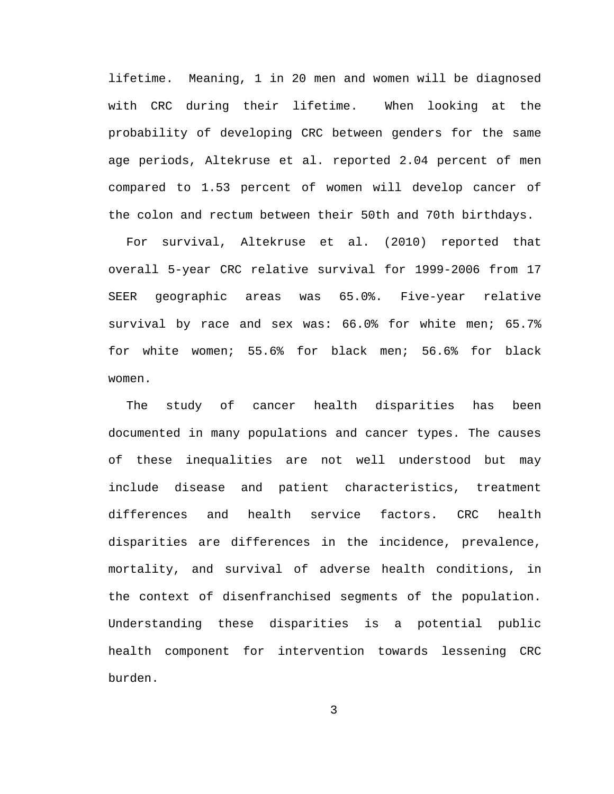lifetime. Meaning, 1 in 20 men and women will be diagnosed with CRC during their lifetime. When looking at the probability of developing CRC between genders for the same age periods, Altekruse et al. reported 2.04 percent of men compared to 1.53 percent of women will develop cancer of the colon and rectum between their 50th and 70th birthdays.

For survival, Altekruse et al. (2010) reported that overall 5-year CRC relative survival for 1999-2006 from 17 SEER geographic areas was 65.0%. Five-year relative survival by race and sex was: 66.0% for white men; 65.7% for white women; 55.6% for black men; 56.6% for black women.

The study of cancer health disparities has been documented in many populations and cancer types. The causes of these inequalities are not well understood but may include disease and patient characteristics, treatment differences and health service factors. CRC health disparities are differences in the incidence, prevalence, mortality, and survival of adverse health conditions, in the context of disenfranchised segments of the population. Understanding these disparities is a potential public health component for intervention towards lessening CRC burden.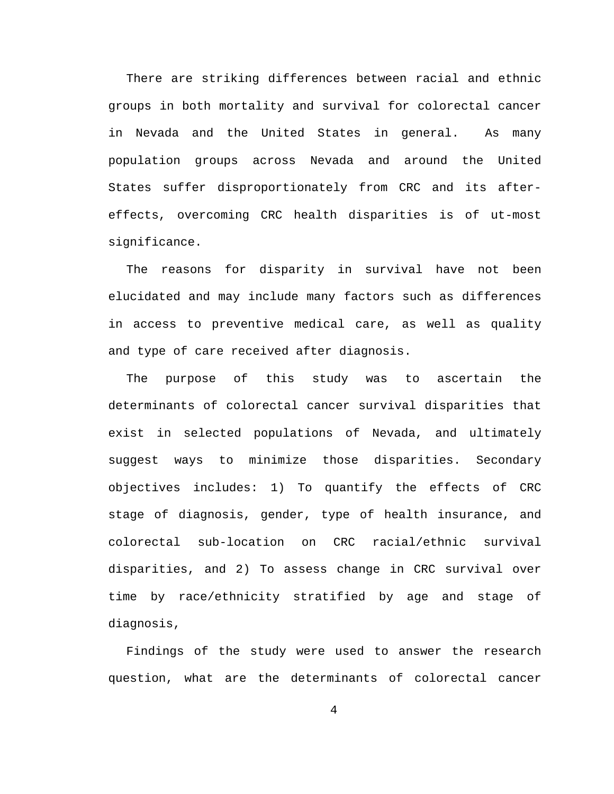There are striking differences between racial and ethnic groups in both mortality and survival for colorectal cancer in Nevada and the United States in general. As many population groups across Nevada and around the United States suffer disproportionately from CRC and its aftereffects, overcoming CRC health disparities is of ut-most significance.

The reasons for disparity in survival have not been elucidated and may include many factors such as differences in access to preventive medical care, as well as quality and type of care received after diagnosis.

The purpose of this study was to ascertain the determinants of colorectal cancer survival disparities that exist in selected populations of Nevada, and ultimately suggest ways to minimize those disparities. Secondary objectives includes: 1) To quantify the effects of CRC stage of diagnosis, gender, type of health insurance, and colorectal sub-location on CRC racial/ethnic survival disparities, and 2) To assess change in CRC survival over time by race/ethnicity stratified by age and stage of diagnosis,

Findings of the study were used to answer the research question, what are the determinants of colorectal cancer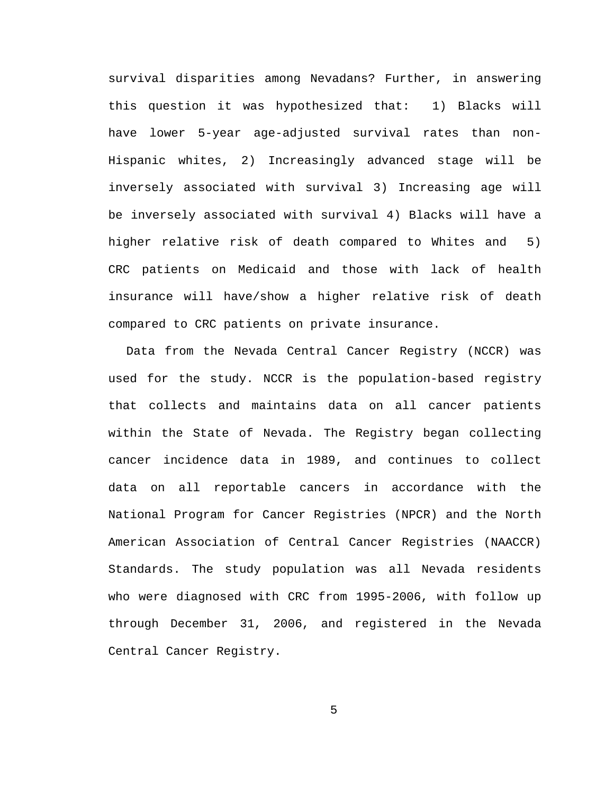survival disparities among Nevadans? Further, in answering this question it was hypothesized that: 1) Blacks will have lower 5-year age-adjusted survival rates than non-Hispanic whites, 2) Increasingly advanced stage will be inversely associated with survival 3) Increasing age will be inversely associated with survival 4) Blacks will have a higher relative risk of death compared to Whites and 5) CRC patients on Medicaid and those with lack of health insurance will have/show a higher relative risk of death compared to CRC patients on private insurance.

Data from the Nevada Central Cancer Registry (NCCR) was used for the study. NCCR is the population-based registry that collects and maintains data on all cancer patients within the State of Nevada. The Registry began collecting cancer incidence data in 1989, and continues to collect data on all reportable cancers in accordance with the National Program for Cancer Registries (NPCR) and the North American Association of Central Cancer Registries (NAACCR) Standards. The study population was all Nevada residents who were diagnosed with CRC from 1995-2006, with follow up through December 31, 2006, and registered in the Nevada Central Cancer Registry.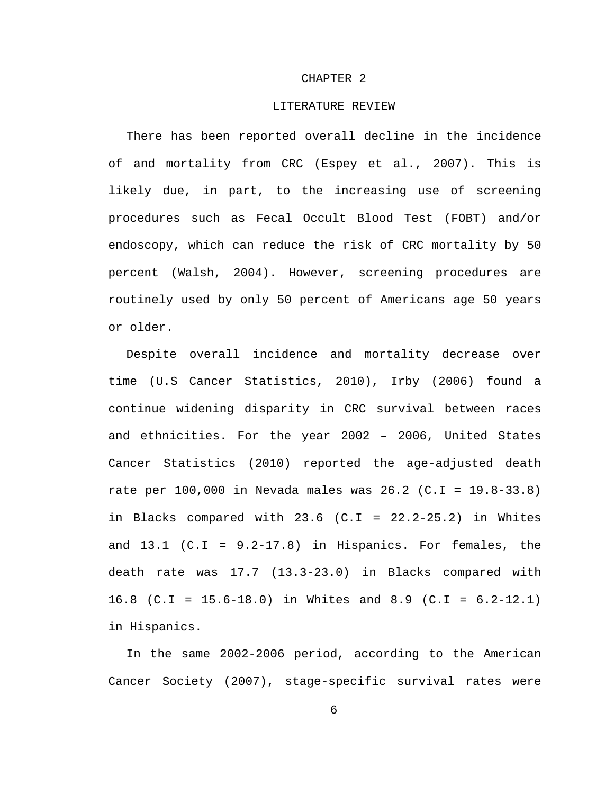#### CHAPTER 2

#### LITERATURE REVIEW

There has been reported overall decline in the incidence of and mortality from CRC (Espey et al., 2007). This is likely due, in part, to the increasing use of screening procedures such as Fecal Occult Blood Test (FOBT) and/or endoscopy, which can reduce the risk of CRC mortality by 50 percent (Walsh, 2004). However, screening procedures are routinely used by only 50 percent of Americans age 50 years or older.

Despite overall incidence and mortality decrease over time (U.S Cancer Statistics, 2010), Irby (2006) found a continue widening disparity in CRC survival between races and ethnicities. For the year 2002 – 2006, United States Cancer Statistics (2010) reported the age-adjusted death rate per 100,000 in Nevada males was 26.2 (C.I = 19.8-33.8) in Blacks compared with  $23.6$  (C.I =  $22.2-25.2$ ) in Whites and  $13.1$  (C.I =  $9.2-17.8$ ) in Hispanics. For females, the death rate was 17.7 (13.3-23.0) in Blacks compared with 16.8 (C.I = 15.6-18.0) in Whites and 8.9 (C.I = 6.2-12.1) in Hispanics.

In the same 2002-2006 period, according to the American Cancer Society (2007), stage-specific survival rates were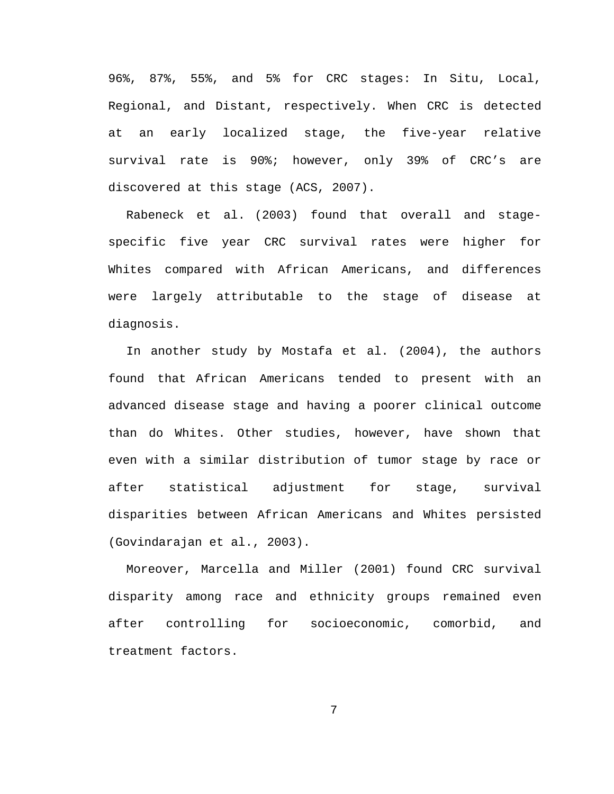96%, 87%, 55%, and 5% for CRC stages: In Situ, Local, Regional, and Distant, respectively. When CRC is detected at an early localized stage, the five-year relative survival rate is 90%; however, only 39% of CRC's are discovered at this stage (ACS, 2007).

Rabeneck et al. (2003) found that overall and stagespecific five year CRC survival rates were higher for Whites compared with African Americans, and differences were largely attributable to the stage of disease at diagnosis.

In another study by Mostafa et al. (2004), the authors found that African Americans tended to present with an advanced disease stage and having a poorer clinical outcome than do Whites. Other studies, however, have shown that even with a similar distribution of tumor stage by race or after statistical adjustment for stage, survival disparities between African Americans and Whites persisted (Govindarajan et al., 2003).

Moreover, Marcella and Miller (2001) found CRC survival disparity among race and ethnicity groups remained even after controlling for socioeconomic, comorbid, and treatment factors.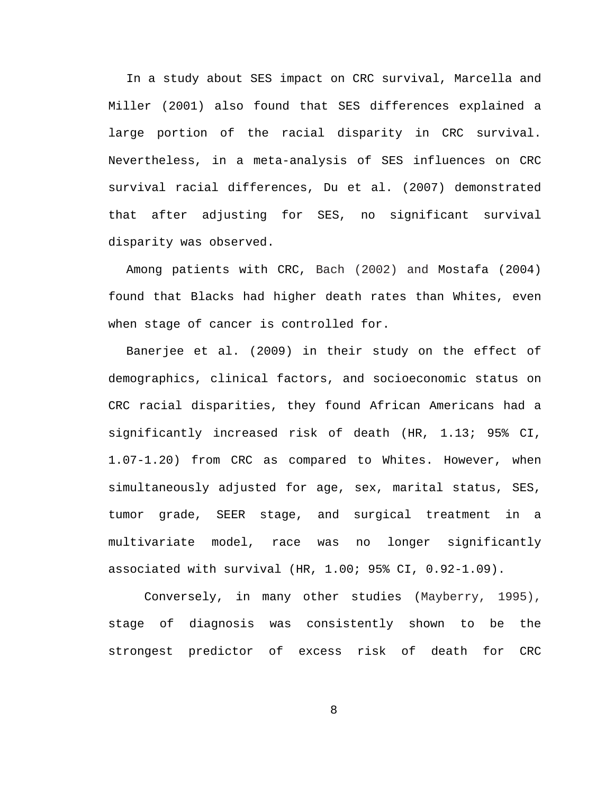In a study about SES impact on CRC survival, Marcella and Miller (2001) also found that SES differences explained a large portion of the racial disparity in CRC survival. Nevertheless, in a meta-analysis of SES influences on CRC survival racial differences, Du et al. (2007) demonstrated that after adjusting for SES, no significant survival disparity was observed.

Among patients with CRC, Bach (2002) and Mostafa (2004) found that Blacks had higher death rates than Whites, even when stage of cancer is controlled for.

Banerjee et al. (2009) in their study on the effect of demographics, clinical factors, and socioeconomic status on CRC racial disparities, they found African Americans had a significantly increased risk of death (HR, 1.13; 95% CI, 1.07-1.20) from CRC as compared to Whites. However, when simultaneously adjusted for age, sex, marital status, SES, tumor grade, SEER stage, and surgical treatment in a multivariate model, race was no longer significantly associated with survival (HR, 1.00; 95% CI, 0.92-1.09).

Conversely, in many other studies (Mayberry, 1995), stage of diagnosis was consistently shown to be the strongest predictor of excess risk of death for CRC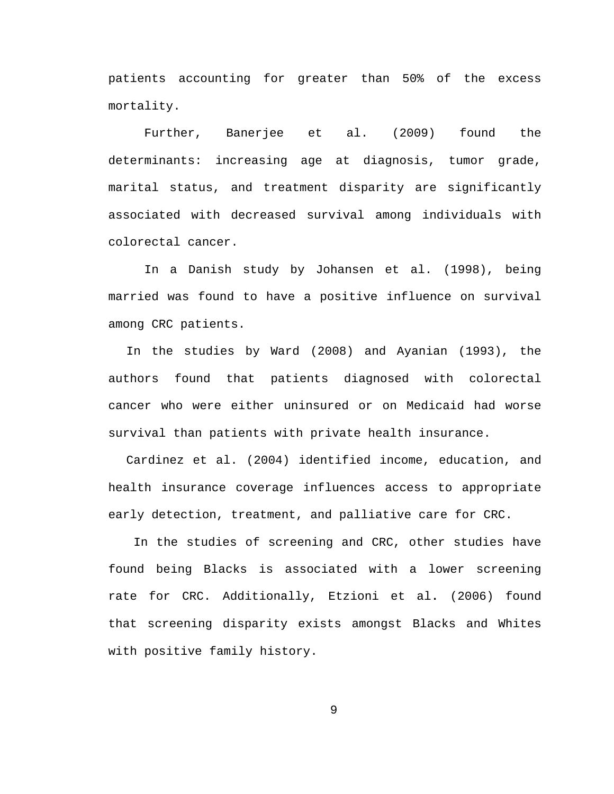patients accounting for greater than 50% of the excess mortality.

Further, Banerjee et al. (2009) found the determinants: increasing age at diagnosis, tumor grade, marital status, and treatment disparity are significantly associated with decreased survival among individuals with colorectal cancer.

In a Danish study by Johansen et al. (1998), being married was found to have a positive influence on survival among CRC patients.

In the studies by Ward (2008) and Ayanian (1993), the authors found that patients diagnosed with colorectal cancer who were either uninsured or on Medicaid had worse survival than patients with private health insurance.

Cardinez et al. (2004) identified income, education, and health insurance coverage influences access to appropriate early detection, treatment, and palliative care for CRC.

In the studies of screening and CRC, other studies have found being Blacks is associated with a lower screening rate for CRC. Additionally, Etzioni et al**.** (2006) found that screening disparity exists amongst Blacks and Whites with positive family history.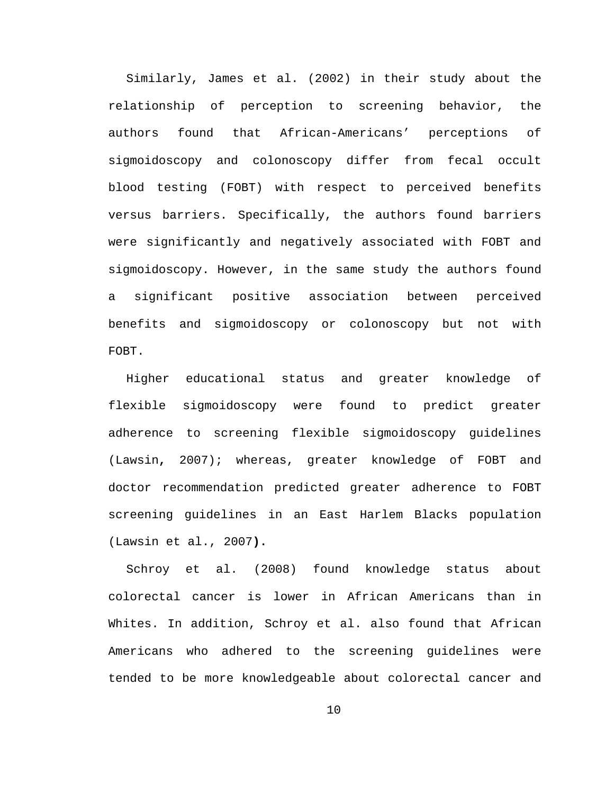Similarly, James et al. (2002) in their study about the relationship of perception to screening behavior, the authors found that African-Americans' perceptions of sigmoidoscopy and colonoscopy differ from fecal occult blood testing (FOBT) with respect to perceived benefits versus barriers. Specifically, the authors found barriers were significantly and negatively associated with FOBT and sigmoidoscopy. However, in the same study the authors found a significant positive association between perceived benefits and sigmoidoscopy or colonoscopy but not with FOBT.

Higher educational status and greater knowledge of flexible sigmoidoscopy were found to predict greater adherence to screening flexible sigmoidoscopy guidelines (Lawsin**,** 2007); whereas, greater knowledge of FOBT and doctor recommendation predicted greater adherence to FOBT screening guidelines in an East Harlem Blacks population (Lawsin et al., 2007**).**

Schroy et al. (2008) found knowledge status about colorectal cancer is lower in African Americans than in Whites. In addition, Schroy et al. also found that African Americans who adhered to the screening guidelines were tended to be more knowledgeable about colorectal cancer and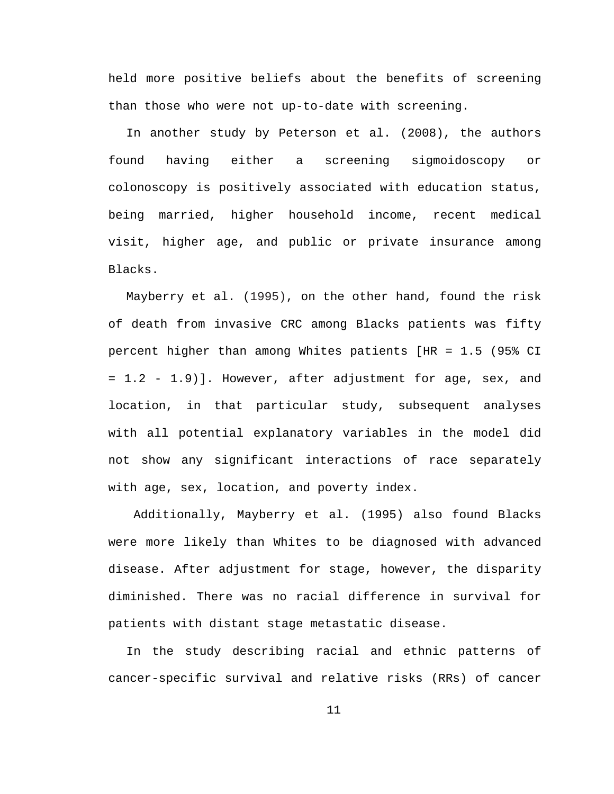held more positive beliefs about the benefits of screening than those who were not up-to-date with screening.

In another study by Peterson et al. (2008), the authors found having either a screening sigmoidoscopy or colonoscopy is positively associated with education status, being married, higher household income, recent medical visit, higher age, and public or private insurance among Blacks.

Mayberry et al. (1995), on the other hand, found the risk of death from invasive CRC among Blacks patients was fifty percent higher than among Whites patients [HR = 1.5 (95% CI = 1.2 - 1.9)]. However, after adjustment for age, sex, and location, in that particular study, subsequent analyses with all potential explanatory variables in the model did not show any significant interactions of race separately with age, sex, location, and poverty index.

Additionally, Mayberry et al. (1995) also found Blacks were more likely than Whites to be diagnosed with advanced disease. After adjustment for stage, however, the disparity diminished. There was no racial difference in survival for patients with distant stage metastatic disease.

In the study describing racial and ethnic patterns of cancer-specific survival and relative risks (RRs) of cancer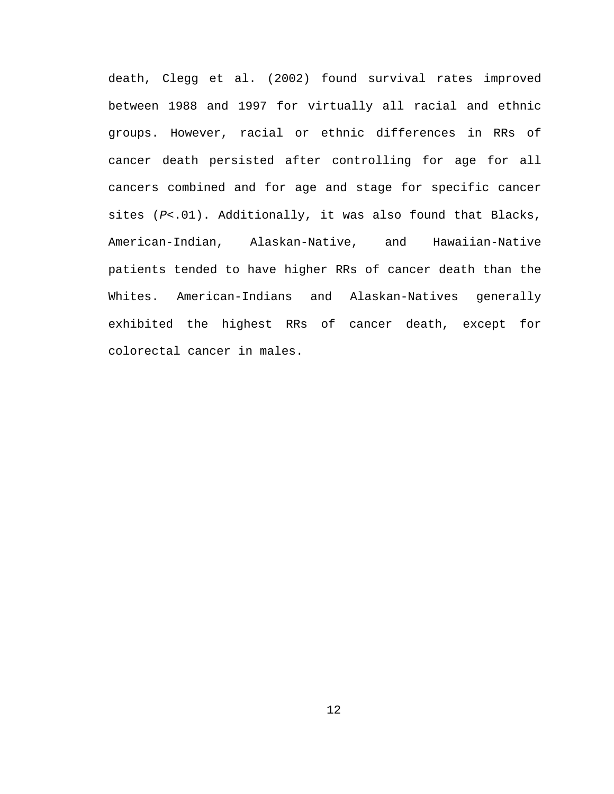death, Clegg et al. (2002) found survival rates improved between 1988 and 1997 for virtually all racial and ethnic groups. However, racial or ethnic differences in RRs of cancer death persisted after controlling for age for all cancers combined and for age and stage for specific cancer sites (*P*<.01). Additionally, it was also found that Blacks, American-Indian, Alaskan-Native, and Hawaiian-Native patients tended to have higher RRs of cancer death than the Whites. American-Indians and Alaskan-Natives generally exhibited the highest RRs of cancer death, except for colorectal cancer in males.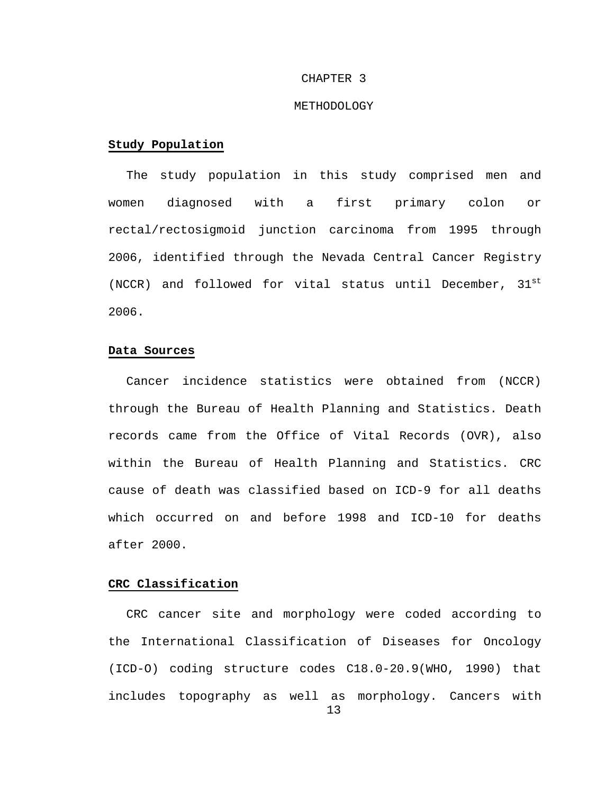#### CHAPTER 3

#### METHODOLOGY

#### **Study Population**

The study population in this study comprised men and women diagnosed with a first primary colon or rectal/rectosigmoid junction carcinoma from 1995 through 2006, identified through the Nevada Central Cancer Registry (NCCR) and followed for vital status until December, 31st 2006.

#### **Data Sources**

Cancer incidence statistics were obtained from (NCCR) through the Bureau of Health Planning and Statistics. Death records came from the Office of Vital Records (OVR), also within the Bureau of Health Planning and Statistics. CRC cause of death was classified based on ICD-9 for all deaths which occurred on and before 1998 and ICD-10 for deaths after 2000.

#### **CRC Classification**

CRC cancer site and morphology were coded according to the International Classification of Diseases for Oncology (ICD-O) coding structure codes C18.0-20.9(WHO, 1990) that includes topography as well as morphology. Cancers with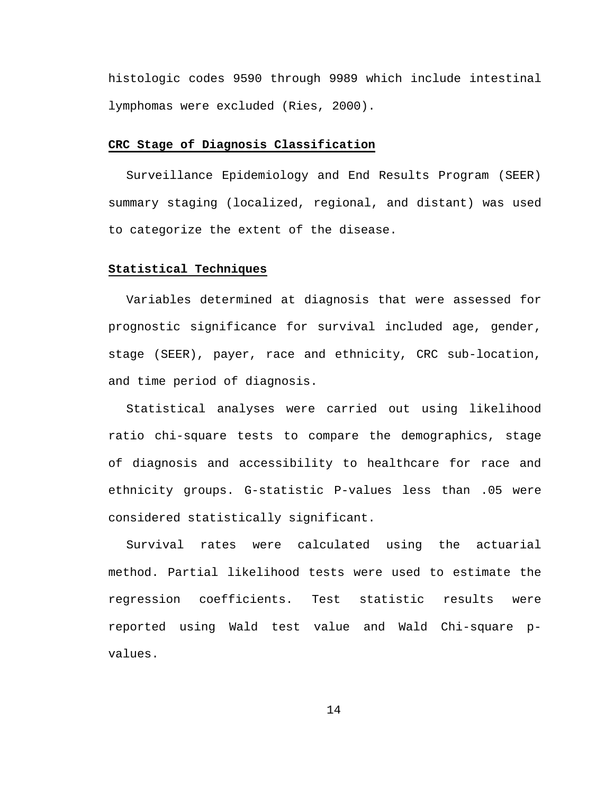histologic codes 9590 through 9989 which include intestinal lymphomas were excluded (Ries, 2000).

#### **CRC Stage of Diagnosis Classification**

Surveillance Epidemiology and End Results Program (SEER) summary staging (localized, regional, and distant) was used to categorize the extent of the disease.

#### **Statistical Techniques**

Variables determined at diagnosis that were assessed for prognostic significance for survival included age, gender, stage (SEER), payer, race and ethnicity, CRC sub-location, and time period of diagnosis.

Statistical analyses were carried out using likelihood ratio chi-square tests to compare the demographics, stage of diagnosis and accessibility to healthcare for race and ethnicity groups. G-statistic P-values less than .05 were considered statistically significant.

Survival rates were calculated using the actuarial method. Partial likelihood tests were used to estimate the regression coefficients. Test statistic results were reported using Wald test value and Wald Chi-square pvalues.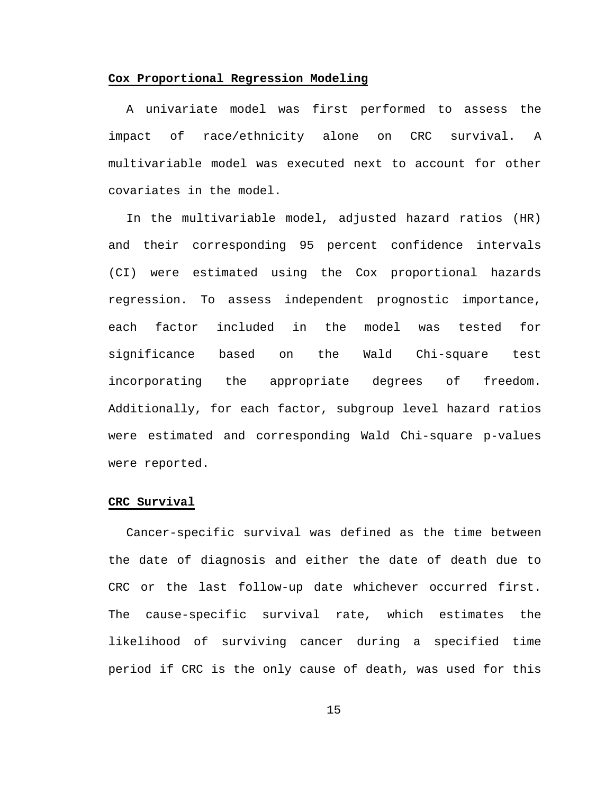#### **Cox Proportional Regression Modeling**

A univariate model was first performed to assess the impact of race/ethnicity alone on CRC survival. A multivariable model was executed next to account for other covariates in the model.

In the multivariable model, adjusted hazard ratios (HR) and their corresponding 95 percent confidence intervals (CI) were estimated using the Cox proportional hazards regression. To assess independent prognostic importance, each factor included in the model was tested for significance based on the Wald Chi-square test incorporating the appropriate degrees of freedom. Additionally, for each factor, subgroup level hazard ratios were estimated and corresponding Wald Chi-square p-values were reported.

#### **CRC Survival**

Cancer-specific survival was defined as the time between the date of diagnosis and either the date of death due to CRC or the last follow-up date whichever occurred first. The cause-specific survival rate, which estimates the likelihood of surviving cancer during a specified time period if CRC is the only cause of death, was used for this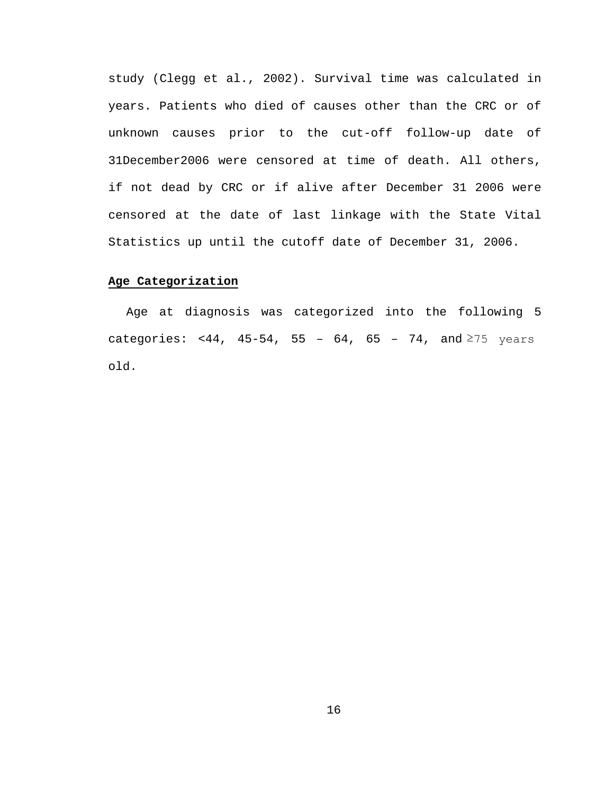study (Clegg et al., 2002). Survival time was calculated in years. Patients who died of causes other than the CRC or of unknown causes prior to the cut-off follow-up date of 31December2006 were censored at time of death. All others, if not dead by CRC or if alive after December 31 2006 were censored at the date of last linkage with the State Vital Statistics up until the cutoff date of December 31, 2006.

#### **Age Categorization**

Age at diagnosis was categorized into the following 5 categories: <44, 45-54, 55 - 64, 65 - 74, and  $\ge$ 75 years old.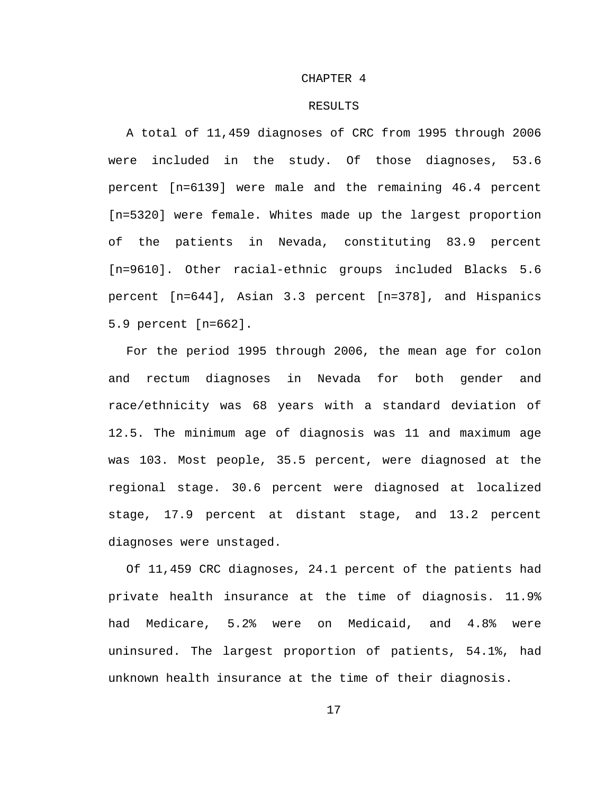#### CHAPTER 4

#### RESULTS

A total of 11,459 diagnoses of CRC from 1995 through 2006 were included in the study. Of those diagnoses, 53.6 percent [n=6139] were male and the remaining 46.4 percent [n=5320] were female. Whites made up the largest proportion of the patients in Nevada, constituting 83.9 percent [n=9610]. Other racial-ethnic groups included Blacks 5.6 percent [n=644], Asian 3.3 percent [n=378], and Hispanics 5.9 percent [n=662].

For the period 1995 through 2006, the mean age for colon and rectum diagnoses in Nevada for both gender and race/ethnicity was 68 years with a standard deviation of 12.5. The minimum age of diagnosis was 11 and maximum age was 103. Most people, 35.5 percent, were diagnosed at the regional stage. 30.6 percent were diagnosed at localized stage, 17.9 percent at distant stage, and 13.2 percent diagnoses were unstaged.

Of 11,459 CRC diagnoses, 24.1 percent of the patients had private health insurance at the time of diagnosis. 11.9% had Medicare, 5.2% were on Medicaid, and 4.8% were uninsured. The largest proportion of patients, 54.1%, had unknown health insurance at the time of their diagnosis.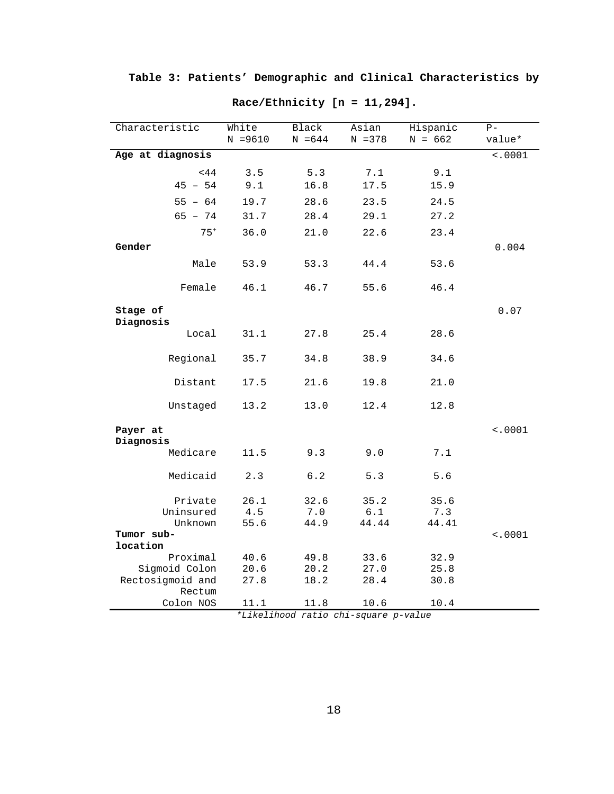<span id="page-26-0"></span>

| Characteristic             | White<br>$N = 9610$ | Black<br>$N = 644$ | Asian<br>$N = 378$ | Hispanic<br>$N = 662$ | $P -$<br>value* |
|----------------------------|---------------------|--------------------|--------------------|-----------------------|-----------------|
| Age at diagnosis           |                     |                    |                    |                       | 10001           |
| <44                        | 3.5                 | 5.3                | 7.1                | 9.1                   |                 |
| $45 - 54$                  | 9.1                 | 16.8               | 17.5               | 15.9                  |                 |
| $55 - 64$                  | 19.7                | 28.6               | 23.5               | 24.5                  |                 |
| $65 - 74$                  | 31.7                | 28.4               | 29.1               | 27.2                  |                 |
| $75+$                      | 36.0                | 21.0               | 22.6               | 23.4                  |                 |
| Gender                     |                     |                    |                    |                       | 0.004           |
|                            |                     |                    |                    |                       |                 |
| Male                       | 53.9                | 53.3               | 44.4               | 53.6                  |                 |
| Female                     | 46.1                | 46.7               | 55.6               | 46.4                  |                 |
| Stage of                   |                     |                    |                    |                       | 0.07            |
| Diagnosis<br>Local         | 31.1                | 27.8               | 25.4               | 28.6                  |                 |
| Regional                   | 35.7                | 34.8               | 38.9               | 34.6                  |                 |
| Distant                    | 17.5                | 21.6               | 19.8               | 21.0                  |                 |
| Unstaged                   | 13.2                | 13.0               | 12.4               | 12.8                  |                 |
| Payer at<br>Diagnosis      |                     |                    |                    |                       | < .0001         |
| Medicare                   | 11.5                | 9.3                | 9.0                | 7.1                   |                 |
| Medicaid                   | 2.3                 | 6.2                | 5.3                | 5.6                   |                 |
| Private                    | 26.1                | 32.6               | 35.2               | 35.6                  |                 |
| Uninsured                  | 4.5                 | 7.0                | $6.1$              | 7.3                   |                 |
| Unknown                    | 55.6                | 44.9               | 44.44              | 44.41                 |                 |
| Tumor sub-                 |                     |                    |                    |                       | < .0001         |
| location                   |                     |                    |                    |                       |                 |
| Proximal                   | 40.6                | 49.8               | 33.6               | 32.9                  |                 |
| Sigmoid Colon              | 20.6                | 20.2               | 27.0               | 25.8                  |                 |
| Rectosigmoid and<br>Rectum | 27.8                | 18.2               | 28.4               | 30.8                  |                 |
| Colon NOS                  | 11.1                | 11.8               | 10.6               | 10.4                  |                 |

**Race/Ethnicity [n = 11,294].**

*\*Likelihood ratio chi-square p-value*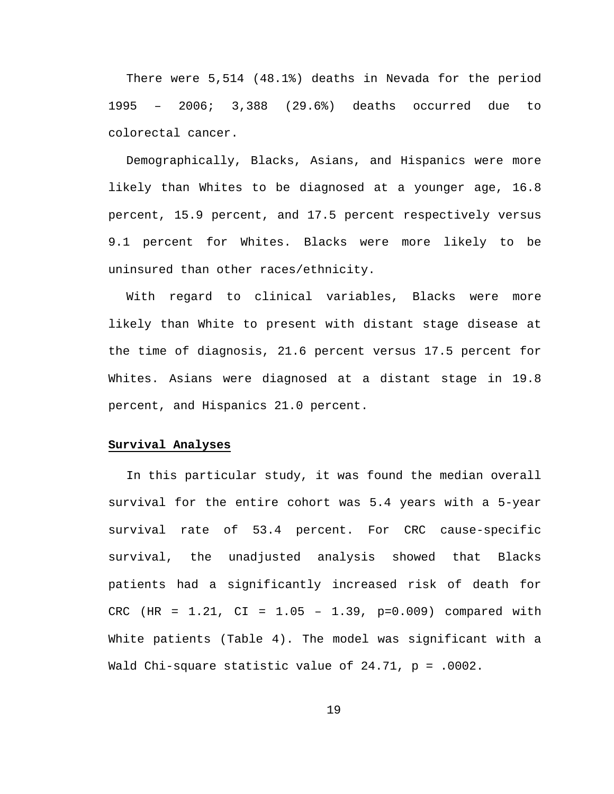There were 5,514 (48.1%) deaths in Nevada for the period 1995 – 2006; 3,388 (29.6%) deaths occurred due to colorectal cancer.

Demographically, Blacks, Asians, and Hispanics were more likely than Whites to be diagnosed at a younger age, 16.8 percent, 15.9 percent, and 17.5 percent respectively versus 9.1 percent for Whites. Blacks were more likely to be uninsured than other races/ethnicity.

With regard to clinical variables, Blacks were more likely than White to present with distant stage disease at the time of diagnosis, 21.6 percent versus 17.5 percent for Whites. Asians were diagnosed at a distant stage in 19.8 percent, and Hispanics 21.0 percent.

#### **Survival Analyses**

In this particular study, it was found the median overall survival for the entire cohort was 5.4 years with a 5-year survival rate of 53.4 percent. For CRC cause-specific survival, the unadjusted analysis showed that Blacks patients had a significantly increased risk of death for CRC (HR = 1.21, CI = 1.05 – 1.39, p=0.009) compared with White patients (Table 4). The model was significant with a Wald Chi-square statistic value of 24.71, p = .0002.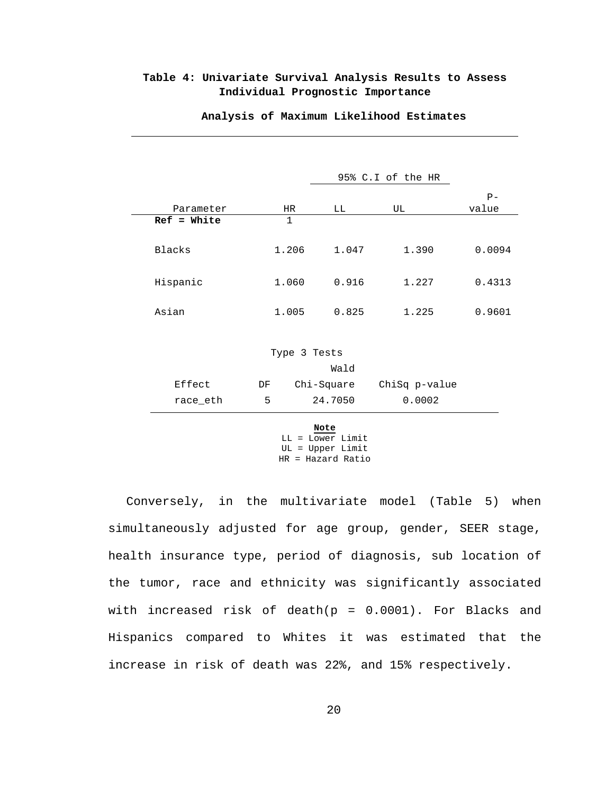### <span id="page-28-0"></span>**Table 4: Univariate Survival Analysis Results to Assess Individual Prognostic Importance**

|                          |              |            |               | $P -$  |  |  |  |  |
|--------------------------|--------------|------------|---------------|--------|--|--|--|--|
| Parameter                | HR           | LL         | UL            | value  |  |  |  |  |
| $Ref = White$            | $\mathbf{1}$ |            |               |        |  |  |  |  |
| <b>Blacks</b>            | 1.206        | 1.047      | 1.390         | 0.0094 |  |  |  |  |
| Hispanic                 | 1.060        | 0.916      | 1.227         | 0.4313 |  |  |  |  |
| Asian                    | 1.005        | 0.825      | 1.225         | 0.9601 |  |  |  |  |
| Type 3 Tests             |              |            |               |        |  |  |  |  |
|                          |              | Wald       |               |        |  |  |  |  |
| Effect                   | DF           | Chi-Square | ChiSq p-value |        |  |  |  |  |
| race_eth                 | 5            | 24.7050    | 0.0002        |        |  |  |  |  |
| Note<br>LL = Lower Limit |              |            |               |        |  |  |  |  |

**Analysis of Maximum Likelihood Estimates**

95% C.I of the HR

UL = Upper Limit HR = Hazard Ratio

Conversely, in the multivariate model (Table 5) when simultaneously adjusted for age group, gender, SEER stage, health insurance type, period of diagnosis, sub location of the tumor, race and ethnicity was significantly associated with increased risk of death( $p = 0.0001$ ). For Blacks and Hispanics compared to Whites it was estimated that the increase in risk of death was 22%, and 15% respectively.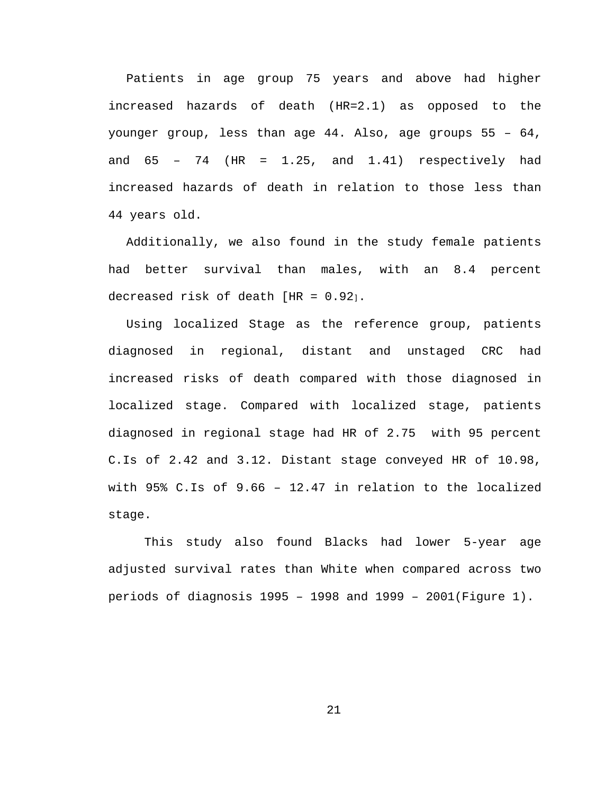Patients in age group 75 years and above had higher increased hazards of death (HR=2.1) as opposed to the younger group, less than age 44. Also, age groups 55 – 64, and  $65 - 74$  (HR = 1.25, and 1.41) respectively had increased hazards of death in relation to those less than 44 years old.

Additionally, we also found in the study female patients had better survival than males, with an 8.4 percent decreased risk of death [HR = 0.92].

Using localized Stage as the reference group, patients diagnosed in regional, distant and unstaged CRC had increased risks of death compared with those diagnosed in localized stage. Compared with localized stage, patients diagnosed in regional stage had HR of 2.75 with 95 percent C.Is of 2.42 and 3.12. Distant stage conveyed HR of 10.98, with 95% C.Is of 9.66 – 12.47 in relation to the localized stage.

This study also found Blacks had lower 5-year age adjusted survival rates than White when compared across two periods of diagnosis 1995 – 1998 and 1999 – 2001(Figure 1).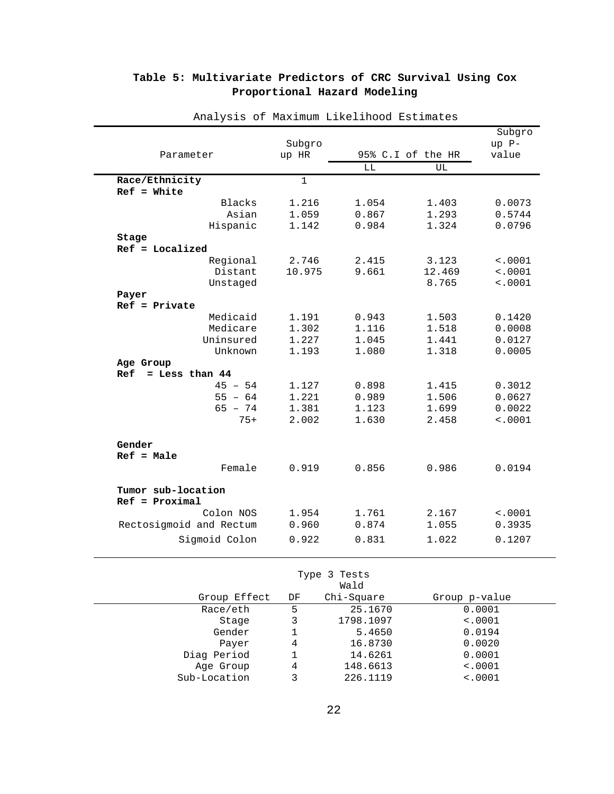|                         |              |       |                   | Subgro         |
|-------------------------|--------------|-------|-------------------|----------------|
|                         | Subgro       |       |                   | up P-<br>value |
| Parameter               | up HR        |       | 95% C.I of the HR |                |
|                         |              | LL    | UL                |                |
| Race/Ethnicity          | $\mathbf{1}$ |       |                   |                |
| $Ref = White$           |              |       |                   |                |
| Blacks                  | 1.216        | 1.054 | 1.403             | 0.0073         |
| Asian                   | 1.059        | 0.867 | 1.293             | 0.5744         |
| Hispanic                | 1.142        | 0.984 | 1.324             | 0.0796         |
| Stage                   |              |       |                   |                |
| $Ref = Localized$       |              |       |                   |                |
| Regional                | 2.746        | 2.415 | 3.123             | < .0001        |
| Distant                 | 10.975       | 9.661 | 12.469            | < .0001        |
| Unstaged                |              |       | 8.765             | < .0001        |
| Payer                   |              |       |                   |                |
| $Ref = Private$         |              |       |                   |                |
| Medicaid                | 1.191        | 0.943 | 1.503             | 0.1420         |
| Medicare                | 1.302        | 1.116 | 1.518             | 0.0008         |
| Uninsured               | 1.227        | 1.045 | 1.441             | 0.0127         |
| Unknown                 | 1.193        | 1.080 | 1.318             | 0.0005         |
| Age Group               |              |       |                   |                |
| $=$ Less than 44<br>Ref |              |       |                   |                |
| $45 - 54$               | 1.127        | 0.898 | 1.415             | 0.3012         |
| $55 - 64$               | 1.221        | 0.989 | 1.506             | 0.0627         |
| $65 - 74$               | 1.381        | 1.123 | 1.699             | 0.0022         |
| $75+$                   | 2.002        | 1.630 | 2.458             | < .0001        |
| Gender                  |              |       |                   |                |
| $Ref = Male$            |              |       |                   |                |
| Female                  | 0.919        | 0.856 | 0.986             | 0.0194         |
|                         |              |       |                   |                |
| Tumor sub-location      |              |       |                   |                |
| $Ref = Proximal$        |              |       |                   |                |
| Colon NOS               | 1.954        | 1.761 | 2.167             | < .0001        |
| Rectosigmoid and Rectum | 0.960        | 0.874 | 1.055             | 0.3935         |
| Sigmoid Colon           | 0.922        | 0.831 | 1.022             | 0.1207         |
|                         |              |       |                   |                |

# <span id="page-30-0"></span>**Table 5: Multivariate Predictors of CRC Survival Using Cox Proportional Hazard Modeling**

Analysis of Maximum Likelihood Estimates

Type 3 Tests

| Wald         |    |            |               |  |  |  |
|--------------|----|------------|---------------|--|--|--|
| Group Effect | DF | Chi-Square | Group p-value |  |  |  |
| Race/eth     | 5  | 25.1670    | 0.0001        |  |  |  |
| Stage        | 3  | 1798.1097  | < .0001       |  |  |  |
| Gender       |    | 5.4650     | 0.0194        |  |  |  |
| Payer        | 4  | 16.8730    | 0.0020        |  |  |  |
| Diag Period  |    | 14.6261    | 0.0001        |  |  |  |
| Age Group    | 4  | 148.6613   | < .0001       |  |  |  |
| Sub-Location | 3  | 226.1119   | < .0001       |  |  |  |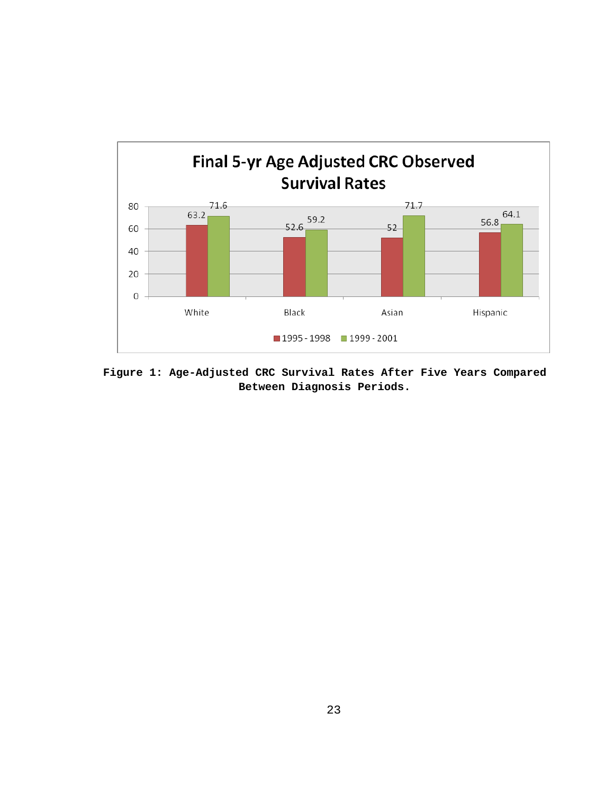

**Figure 1: Age-Adjusted CRC Survival Rates After Five Years Compared Between Diagnosis Periods.**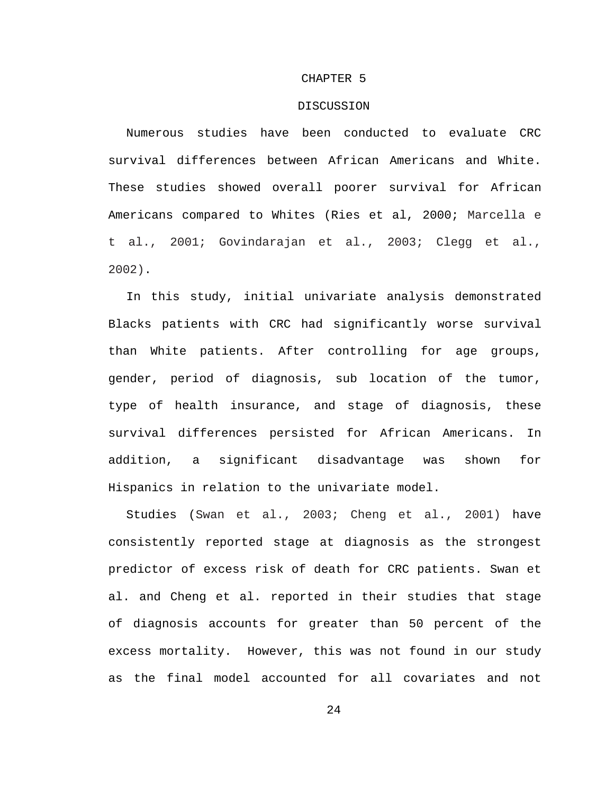#### CHAPTER 5

#### DISCUSSION

Numerous studies have been conducted to evaluate CRC survival differences between African Americans and White. These studies showed overall poorer survival for African Americans compared to Whites (Ries et al, 2000; Marcella e t al., 2001; Govindarajan et al., 2003; Clegg et al., 2002).

In this study, initial univariate analysis demonstrated Blacks patients with CRC had significantly worse survival than White patients. After controlling for age groups, gender, period of diagnosis, sub location of the tumor, type of health insurance, and stage of diagnosis, these survival differences persisted for African Americans. In addition, a significant disadvantage was shown for Hispanics in relation to the univariate model.

Studies (Swan et al., 2003; Cheng et al., 2001) have consistently reported stage at diagnosis as the strongest predictor of excess risk of death for CRC patients. Swan et al. and Cheng et al. reported in their studies that stage of diagnosis accounts for greater than 50 percent of the excess mortality. However, this was not found in our study as the final model accounted for all covariates and not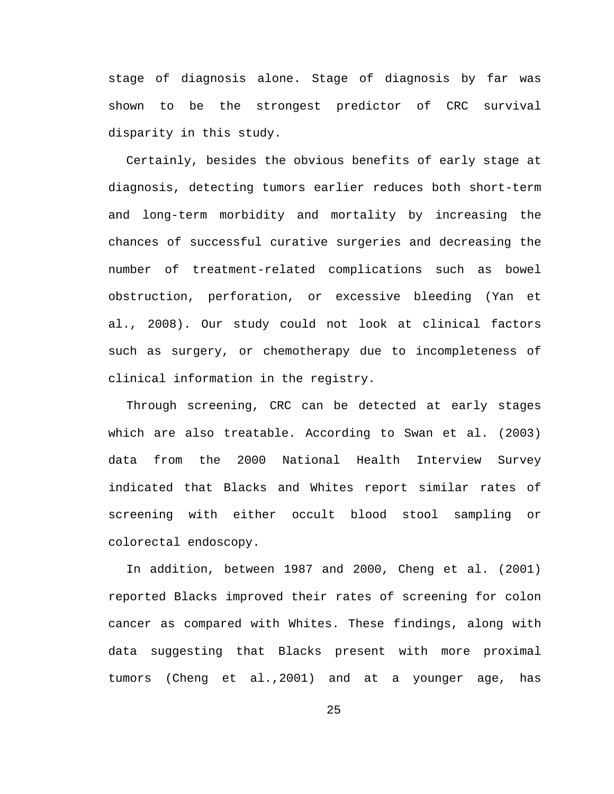stage of diagnosis alone. Stage of diagnosis by far was shown to be the strongest predictor of CRC survival disparity in this study.

Certainly, besides the obvious benefits of early stage at diagnosis, detecting tumors earlier reduces both short-term and long-term morbidity and mortality by increasing the chances of successful curative surgeries and decreasing the number of treatment-related complications such as bowel obstruction, perforation, or excessive bleeding (Yan et al., 2008). Our study could not look at clinical factors such as surgery, or chemotherapy due to incompleteness of clinical information in the registry.

Through screening, CRC can be detected at early stages which are also treatable. According to Swan et al. (2003) data from the 2000 National Health Interview Survey indicated that Blacks and Whites report similar rates of screening with either occult blood stool sampling or colorectal endoscopy.

In addition, between 1987 and 2000, Cheng et al. (2001) reported Blacks improved their rates of screening for colon cancer as compared with Whites. These findings, along with data suggesting that Blacks present with more proximal tumors (Cheng et al.,2001) and at a younger age, has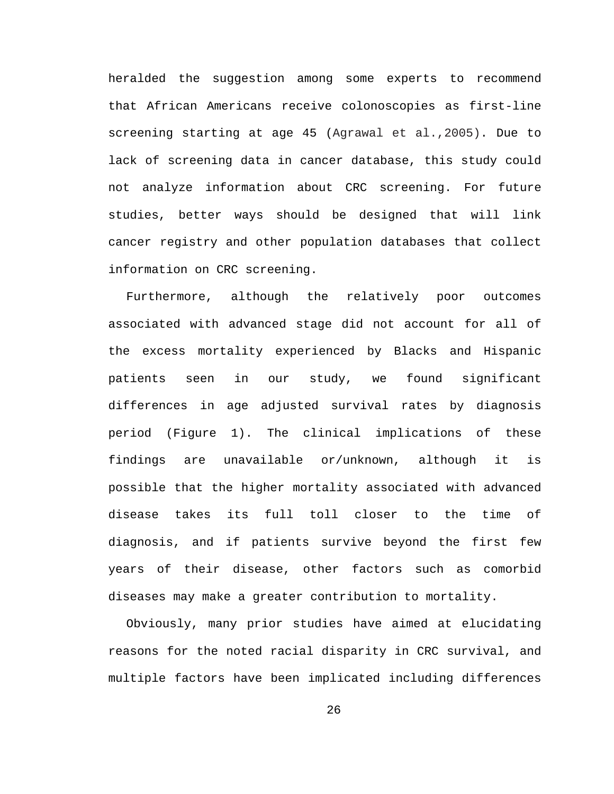heralded the suggestion among some experts to recommend that African Americans receive colonoscopies as first-line screening starting at age 45 (Agrawal et al.,2005). Due to lack of screening data in cancer database, this study could not analyze information about CRC screening. For future studies, better ways should be designed that will link cancer registry and other population databases that collect information on CRC screening.

Furthermore, although the relatively poor outcomes associated with advanced stage did not account for all of the excess mortality experienced by Blacks and Hispanic patients seen in our study, we found significant differences in age adjusted survival rates by diagnosis period (Figure 1). The clinical implications of these findings are unavailable or/unknown, although it is possible that the higher mortality associated with advanced disease takes its full toll closer to the time of diagnosis, and if patients survive beyond the first few years of their disease, other factors such as comorbid diseases may make a greater contribution to mortality.

Obviously, many prior studies have aimed at elucidating reasons for the noted racial disparity in CRC survival, and multiple factors have been implicated including differences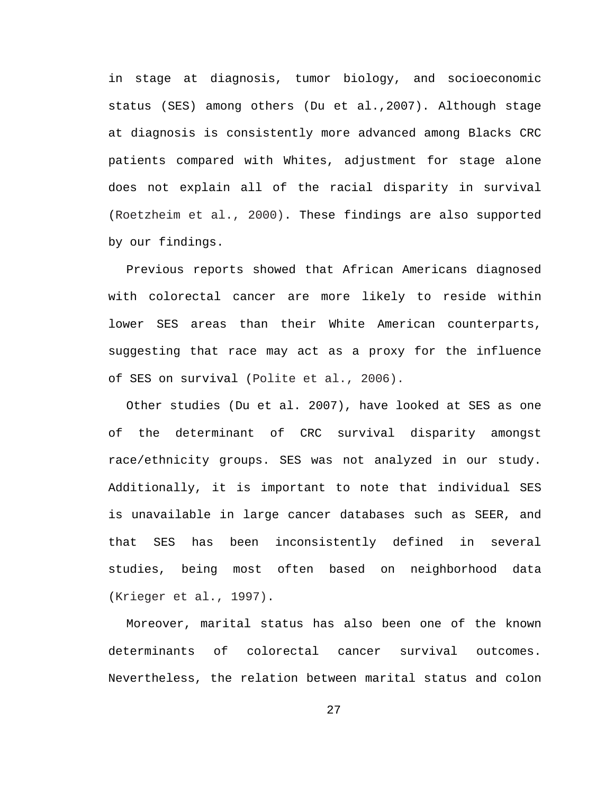in stage at diagnosis, tumor biology, and socioeconomic status (SES) among others (Du et al.,2007). Although stage at diagnosis is consistently more advanced among Blacks CRC patients compared with Whites, adjustment for stage alone does not explain all of the racial disparity in survival (Roetzheim et al., 2000). These findings are also supported by our findings.

Previous reports showed that African Americans diagnosed with colorectal cancer are more likely to reside within lower SES areas than their White American counterparts, suggesting that race may act as a proxy for the influence of SES on survival (Polite et al., 2006).

Other studies (Du et al. 2007), have looked at SES as one of the determinant of CRC survival disparity amongst race/ethnicity groups. SES was not analyzed in our study. Additionally, it is important to note that individual SES is unavailable in large cancer databases such as SEER, and that SES has been inconsistently defined in several studies, being most often based on neighborhood data (Krieger et al., 1997).

Moreover, marital status has also been one of the known determinants of colorectal cancer survival outcomes. Nevertheless, the relation between marital status and colon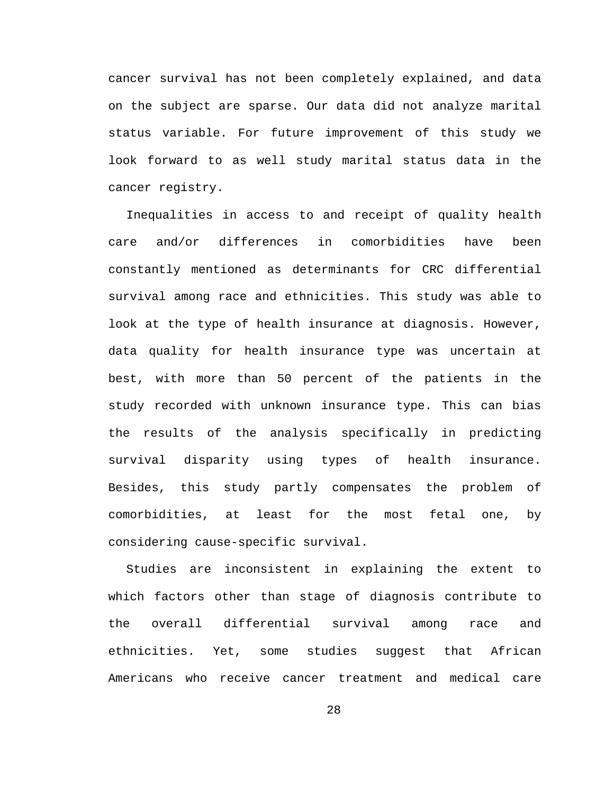cancer survival has not been completely explained, and data on the subject are sparse. Our data did not analyze marital status variable. For future improvement of this study we look forward to as well study marital status data in the cancer registry.

Inequalities in access to and receipt of quality health care and/or differences in comorbidities have been constantly mentioned as determinants for CRC differential survival among race and ethnicities. This study was able to look at the type of health insurance at diagnosis. However, data quality for health insurance type was uncertain at best, with more than 50 percent of the patients in the study recorded with unknown insurance type. This can bias the results of the analysis specifically in predicting survival disparity using types of health insurance. Besides, this study partly compensates the problem of comorbidities, at least for the most fetal one, by considering cause-specific survival.

Studies are inconsistent in explaining the extent to which factors other than stage of diagnosis contribute to the overall differential survival among race and ethnicities. Yet, some studies suggest that African Americans who receive cancer treatment and medical care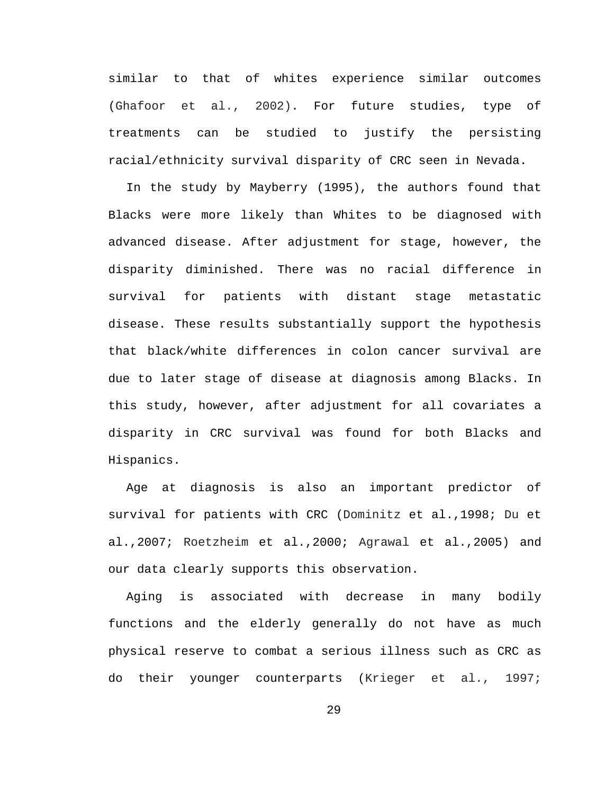similar to that of whites experience similar outcomes (Ghafoor et al., 2002). For future studies, type of treatments can be studied to justify the persisting racial/ethnicity survival disparity of CRC seen in Nevada.

In the study by Mayberry (1995), the authors found that Blacks were more likely than Whites to be diagnosed with advanced disease. After adjustment for stage, however, the disparity diminished. There was no racial difference in survival for patients with distant stage metastatic disease. These results substantially support the hypothesis that black/white differences in colon cancer survival are due to later stage of disease at diagnosis among Blacks. In this study, however, after adjustment for all covariates a disparity in CRC survival was found for both Blacks and Hispanics.

Age at diagnosis is also an important predictor of survival for patients with CRC (Dominitz et al.,1998; Du et al.,2007; Roetzheim et al.,2000; Agrawal et al.,2005) and our data clearly supports this observation.

Aging is associated with decrease in many bodily functions and the elderly generally do not have as much physical reserve to combat a serious illness such as CRC as do their younger counterparts (Krieger et al., 1997;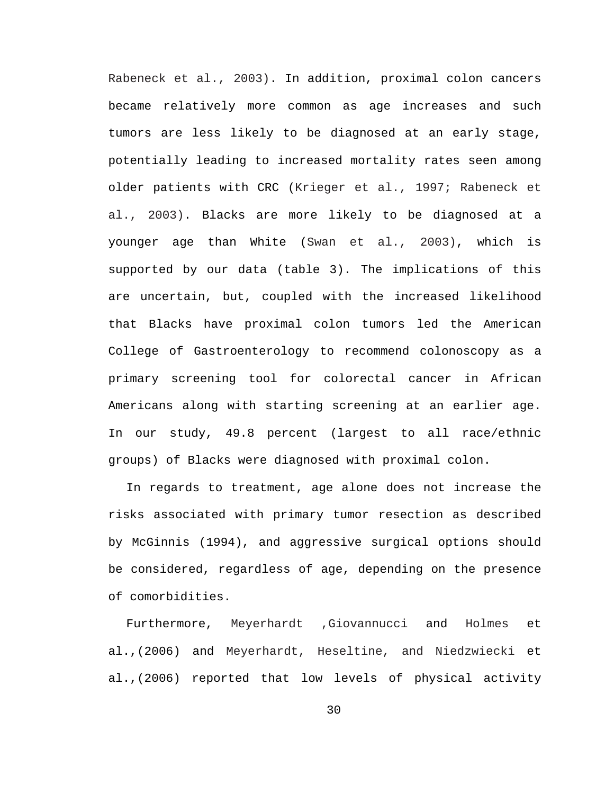Rabeneck et al., 2003). In addition, proximal colon cancers became relatively more common as age increases and such tumors are less likely to be diagnosed at an early stage, potentially leading to increased mortality rates seen among older patients with CRC (Krieger et al., 1997; Rabeneck et al., 2003). Blacks are more likely to be diagnosed at a younger age than White (Swan et al., 2003), which is supported by our data (table 3). The implications of this are uncertain, but, coupled with the increased likelihood that Blacks have proximal colon tumors led the American College of Gastroenterology to recommend colonoscopy as a primary screening tool for colorectal cancer in African Americans along with starting screening at an earlier age. In our study, 49.8 percent (largest to all race/ethnic groups) of Blacks were diagnosed with proximal colon.

In regards to treatment, age alone does not increase the risks associated with primary tumor resection as described by McGinnis (1994), and aggressive surgical options should be considered, regardless of age, depending on the presence of comorbidities.

Furthermore, Meyerhardt ,Giovannucci and Holmes et al.,(2006) and Meyerhardt, Heseltine, and Niedzwiecki et al.,(2006) reported that low levels of physical activity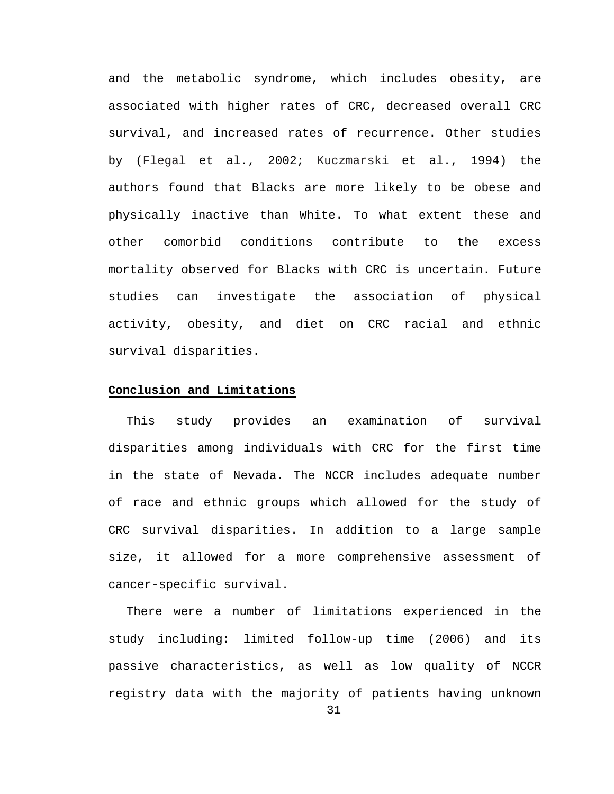and the metabolic syndrome, which includes obesity, are associated with higher rates of CRC, decreased overall CRC survival, and increased rates of recurrence. Other studies by (Flegal et al., 2002; Kuczmarski et al., 1994) the authors found that Blacks are more likely to be obese and physically inactive than White. To what extent these and other comorbid conditions contribute to the excess mortality observed for Blacks with CRC is uncertain. Future studies can investigate the association of physical activity, obesity, and diet on CRC racial and ethnic survival disparities.

#### **Conclusion and Limitations**

This study provides an examination of survival disparities among individuals with CRC for the first time in the state of Nevada. The NCCR includes adequate number of race and ethnic groups which allowed for the study of CRC survival disparities. In addition to a large sample size, it allowed for a more comprehensive assessment of cancer-specific survival.

There were a number of limitations experienced in the study including: limited follow-up time (2006) and its passive characteristics, as well as low quality of NCCR registry data with the majority of patients having unknown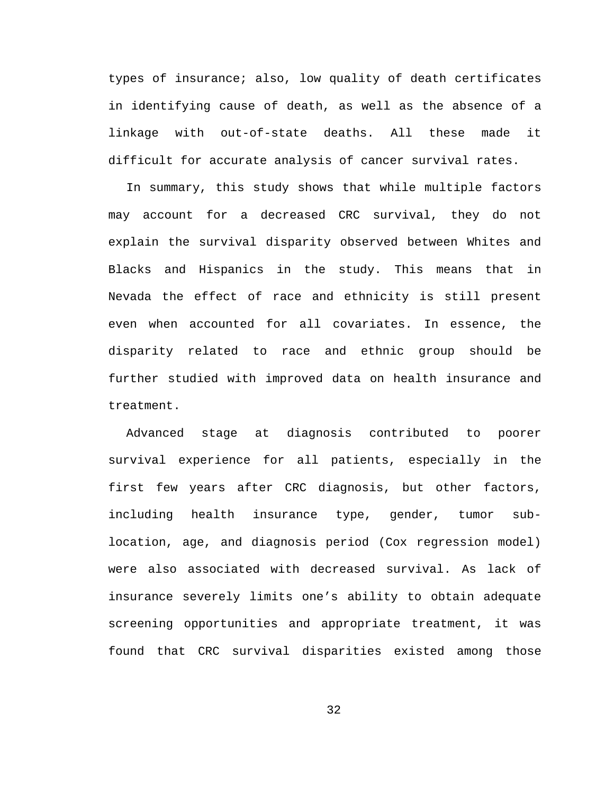types of insurance; also, low quality of death certificates in identifying cause of death, as well as the absence of a linkage with out-of-state deaths. All these made it difficult for accurate analysis of cancer survival rates.

In summary, this study shows that while multiple factors may account for a decreased CRC survival, they do not explain the survival disparity observed between Whites and Blacks and Hispanics in the study. This means that in Nevada the effect of race and ethnicity is still present even when accounted for all covariates. In essence, the disparity related to race and ethnic group should be further studied with improved data on health insurance and treatment.

Advanced stage at diagnosis contributed to poorer survival experience for all patients, especially in the first few years after CRC diagnosis, but other factors, including health insurance type, gender, tumor sublocation, age, and diagnosis period (Cox regression model) were also associated with decreased survival. As lack of insurance severely limits one's ability to obtain adequate screening opportunities and appropriate treatment, it was found that CRC survival disparities existed among those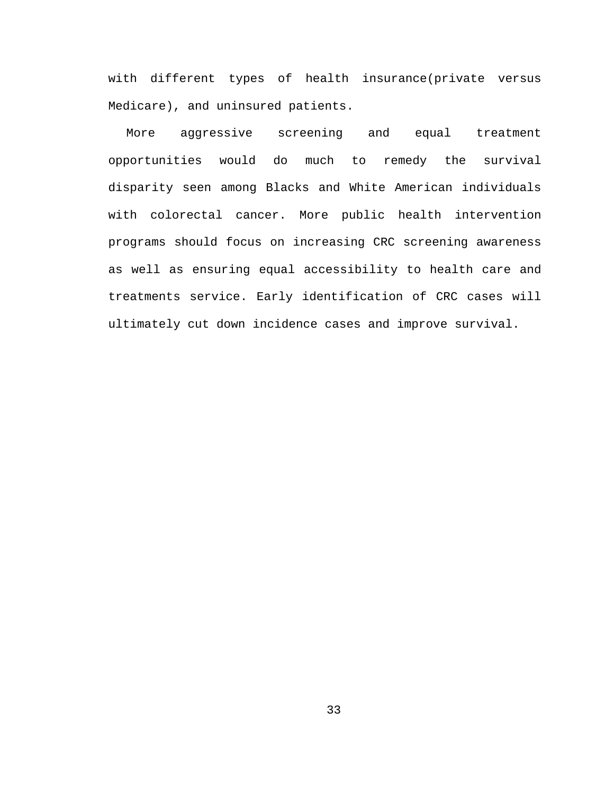with different types of health insurance(private versus Medicare), and uninsured patients.

More aggressive screening and equal treatment opportunities would do much to remedy the survival disparity seen among Blacks and White American individuals with colorectal cancer. More public health intervention programs should focus on increasing CRC screening awareness as well as ensuring equal accessibility to health care and treatments service. Early identification of CRC cases will ultimately cut down incidence cases and improve survival.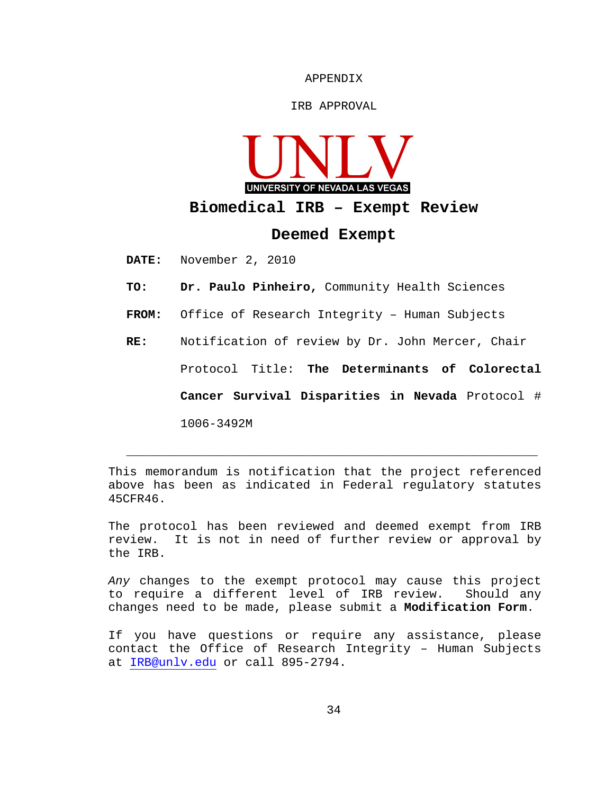APPENDIX

#### IRB APPROVAL



**Biomedical IRB – Exempt Review**

#### **Deemed Exempt**

**DATE:** November 2, 2010

- **TO: Dr. Paulo Pinheiro,** Community Health Sciences
- **FROM:** Office of Research Integrity Human Subjects
- **RE:** Notification of review by Dr. John Mercer, Chair Protocol Title: **The Determinants of Colorectal Cancer Survival Disparities in Nevada** Protocol # 1006-3492M

This memorandum is notification that the project referenced above has been as indicated in Federal regulatory statutes 45CFR46.

 $\overline{\phantom{a}}$  , and the contribution of  $\overline{\phantom{a}}$  , and  $\overline{\phantom{a}}$  , and  $\overline{\phantom{a}}$  , and  $\overline{\phantom{a}}$  , and  $\overline{\phantom{a}}$  , and  $\overline{\phantom{a}}$  , and  $\overline{\phantom{a}}$  , and  $\overline{\phantom{a}}$  , and  $\overline{\phantom{a}}$  , and  $\overline{\phantom{a}}$  , and  $\over$ 

The protocol has been reviewed and deemed exempt from IRB review. It is not in need of further review or approval by the IRB.

*Any* changes to the exempt protocol may cause this project to require a different level of IRB review. Should any changes need to be made, please submit a **Modification Form**.

If you have questions or require any assistance, please contact the Office of Research Integrity – Human Subjects at [IRB@unlv.edu](mailto:IRB@unlv.edu) or call 895-2794.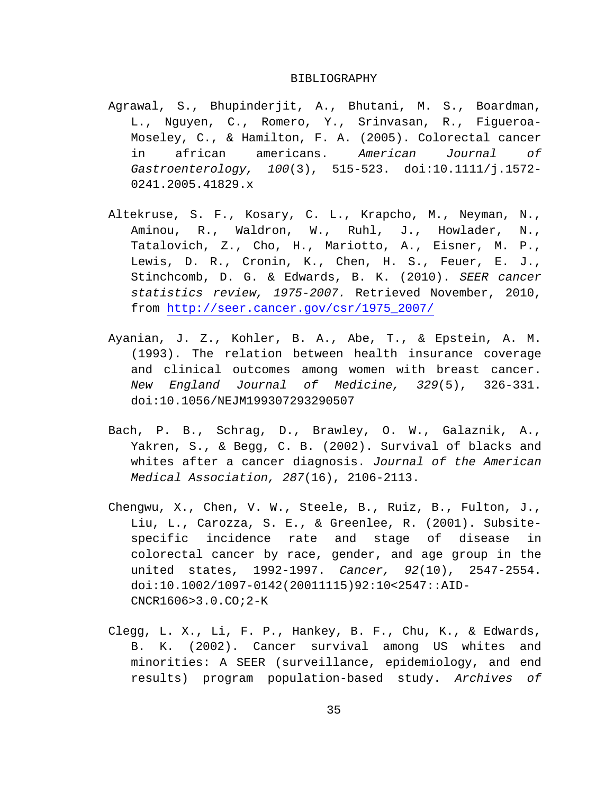#### BIBLIOGRAPHY

- Agrawal, S., Bhupinderjit, A., Bhutani, M. S., Boardman, L., Nguyen, C., Romero, Y., Srinvasan, R., Figueroa-Moseley, C., & Hamilton, F. A. (2005). Colorectal cancer in african americans. *American Journal of Gastroenterology, 100*(3), 515-523. doi:10.1111/j.1572- 0241.2005.41829.x
- Altekruse, S. F., Kosary, C. L., Krapcho, M., Neyman, N., Aminou, R., Waldron, W., Ruhl, J., Howlader, N., Tatalovich, Z., Cho, H., Mariotto, A., Eisner, M. P., Lewis, D. R., Cronin, K., Chen, H. S., Feuer, E. J., Stinchcomb, D. G. & Edwards, B. K. (2010). *SEER cancer statistics review, 1975-2007.* Retrieved November, 2010, from [http://seer.cancer.gov/csr/1975\\_2007/](http://seer.cancer.gov/csr/1975_2007/)
- Ayanian, J. Z., Kohler, B. A., Abe, T., & Epstein, A. M. (1993). The relation between health insurance coverage and clinical outcomes among women with breast cancer. *New England Journal of Medicine, 329*(5), 326-331. doi:10.1056/NEJM199307293290507
- Bach, P. B., Schrag, D., Brawley, O. W., Galaznik, A., Yakren, S., & Begg, C. B. (2002). Survival of blacks and whites after a cancer diagnosis. *Journal of the American Medical Association, 287*(16), 2106-2113.
- Chengwu, X., Chen, V. W., Steele, B., Ruiz, B., Fulton, J., Liu, L., Carozza, S. E., & Greenlee, R. (2001). Subsitespecific incidence rate and stage of disease in colorectal cancer by race, gender, and age group in the united states, 1992-1997. *Cancer, 92*(10), 2547-2554. doi:10.1002/1097-0142(20011115)92:10<2547::AID-CNCR1606>3.0.CO;2-K
- Clegg, L. X., Li, F. P., Hankey, B. F., Chu, K., & Edwards, B. K. (2002). Cancer survival among US whites and minorities: A SEER (surveillance, epidemiology, and end results) program population-based study. *Archives of*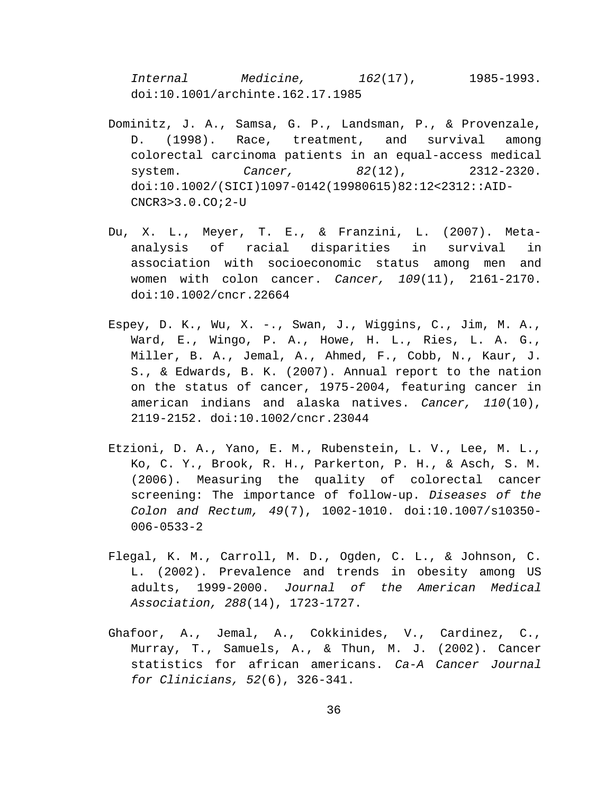*Internal Medicine, 162*(17), 1985-1993. doi:10.1001/archinte.162.17.1985

- Dominitz, J. A., Samsa, G. P., Landsman, P., & Provenzale, D. (1998). Race, treatment, and survival among colorectal carcinoma patients in an equal-access medical system. *Cancer, 82*(12), 2312-2320. doi:10.1002/(SICI)1097-0142(19980615)82:12<2312::AID-CNCR3>3.0.CO;2-U
- Du, X. L., Meyer, T. E., & Franzini, L. (2007). Metaanalysis of racial disparities in survival in association with socioeconomic status among men and women with colon cancer. *Cancer, 109*(11), 2161-2170. doi:10.1002/cncr.22664
- Espey, D. K., Wu, X. -., Swan, J., Wiggins, C., Jim, M. A., Ward, E., Wingo, P. A., Howe, H. L., Ries, L. A. G., Miller, B. A., Jemal, A., Ahmed, F., Cobb, N., Kaur, J. S., & Edwards, B. K. (2007). Annual report to the nation on the status of cancer, 1975-2004, featuring cancer in american indians and alaska natives. *Cancer, 110*(10), 2119-2152. doi:10.1002/cncr.23044
- Etzioni, D. A., Yano, E. M., Rubenstein, L. V., Lee, M. L., Ko, C. Y., Brook, R. H., Parkerton, P. H., & Asch, S. M. (2006). Measuring the quality of colorectal cancer screening: The importance of follow-up. *Diseases of the Colon and Rectum, 49*(7), 1002-1010. doi:10.1007/s10350- 006-0533-2
- Flegal, K. M., Carroll, M. D., Ogden, C. L., & Johnson, C. L. (2002). Prevalence and trends in obesity among US adults, 1999-2000. *Journal of the American Medical Association, 288*(14), 1723-1727.
- Ghafoor, A., Jemal, A., Cokkinides, V., Cardinez, C., Murray, T., Samuels, A., & Thun, M. J. (2002). Cancer statistics for african americans. *Ca-A Cancer Journal for Clinicians, 52*(6), 326-341.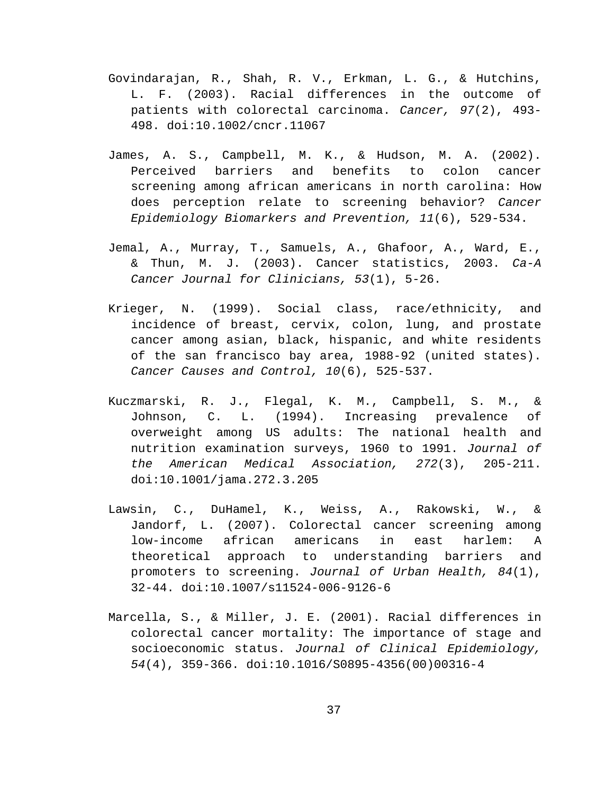- Govindarajan, R., Shah, R. V., Erkman, L. G., & Hutchins, L. F. (2003). Racial differences in the outcome of patients with colorectal carcinoma. *Cancer, 97*(2), 493- 498. doi:10.1002/cncr.11067
- James, A. S., Campbell, M. K., & Hudson, M. A. (2002). Perceived barriers and benefits to colon cancer screening among african americans in north carolina: How does perception relate to screening behavior? *Cancer Epidemiology Biomarkers and Prevention, 11*(6), 529-534.
- Jemal, A., Murray, T., Samuels, A., Ghafoor, A., Ward, E., & Thun, M. J. (2003). Cancer statistics, 2003. *Ca-A Cancer Journal for Clinicians, 53*(1), 5-26.
- Krieger, N. (1999). Social class, race/ethnicity, and incidence of breast, cervix, colon, lung, and prostate cancer among asian, black, hispanic, and white residents of the san francisco bay area, 1988-92 (united states). *Cancer Causes and Control, 10*(6), 525-537.
- Kuczmarski, R. J., Flegal, K. M., Campbell, S. M., & Johnson, C. L. (1994). Increasing prevalence of overweight among US adults: The national health and nutrition examination surveys, 1960 to 1991. *Journal of the American Medical Association, 272*(3), 205-211. doi:10.1001/jama.272.3.205
- Lawsin, C., DuHamel, K., Weiss, A., Rakowski, W., & Jandorf, L. (2007). Colorectal cancer screening among low-income african americans in east harlem: A theoretical approach to understanding barriers and promoters to screening. *Journal of Urban Health, 84*(1), 32-44. doi:10.1007/s11524-006-9126-6
- Marcella, S., & Miller, J. E. (2001). Racial differences in colorectal cancer mortality: The importance of stage and socioeconomic status. *Journal of Clinical Epidemiology, 54*(4), 359-366. doi:10.1016/S0895-4356(00)00316-4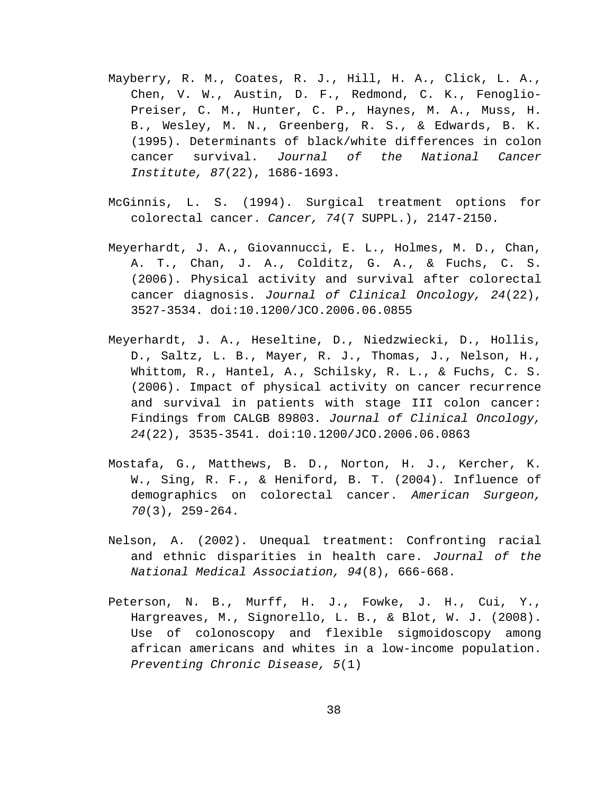- Mayberry, R. M., Coates, R. J., Hill, H. A., Click, L. A., Chen, V. W., Austin, D. F., Redmond, C. K., Fenoglio-Preiser, C. M., Hunter, C. P., Haynes, M. A., Muss, H. B., Wesley, M. N., Greenberg, R. S., & Edwards, B. K. (1995). Determinants of black/white differences in colon cancer survival. *Journal of the National Cancer Institute, 87*(22), 1686-1693.
- McGinnis, L. S. (1994). Surgical treatment options for colorectal cancer. *Cancer, 74*(7 SUPPL.), 2147-2150.
- Meyerhardt, J. A., Giovannucci, E. L., Holmes, M. D., Chan, A. T., Chan, J. A., Colditz, G. A., & Fuchs, C. S. (2006). Physical activity and survival after colorectal cancer diagnosis. *Journal of Clinical Oncology, 24*(22), 3527-3534. doi:10.1200/JCO.2006.06.0855
- Meyerhardt, J. A., Heseltine, D., Niedzwiecki, D., Hollis, D., Saltz, L. B., Mayer, R. J., Thomas, J., Nelson, H., Whittom, R., Hantel, A., Schilsky, R. L., & Fuchs, C. S. (2006). Impact of physical activity on cancer recurrence and survival in patients with stage III colon cancer: Findings from CALGB 89803. *Journal of Clinical Oncology, 24*(22), 3535-3541. doi:10.1200/JCO.2006.06.0863
- Mostafa, G., Matthews, B. D., Norton, H. J., Kercher, K. W., Sing, R. F., & Heniford, B. T. (2004). Influence of demographics on colorectal cancer. *American Surgeon, 70*(3), 259-264.
- Nelson, A. (2002). Unequal treatment: Confronting racial and ethnic disparities in health care. *Journal of the National Medical Association, 94*(8), 666-668.
- Peterson, N. B., Murff, H. J., Fowke, J. H., Cui, Y., Hargreaves, M., Signorello, L. B., & Blot, W. J. (2008). Use of colonoscopy and flexible sigmoidoscopy among african americans and whites in a low-income population. *Preventing Chronic Disease, 5*(1)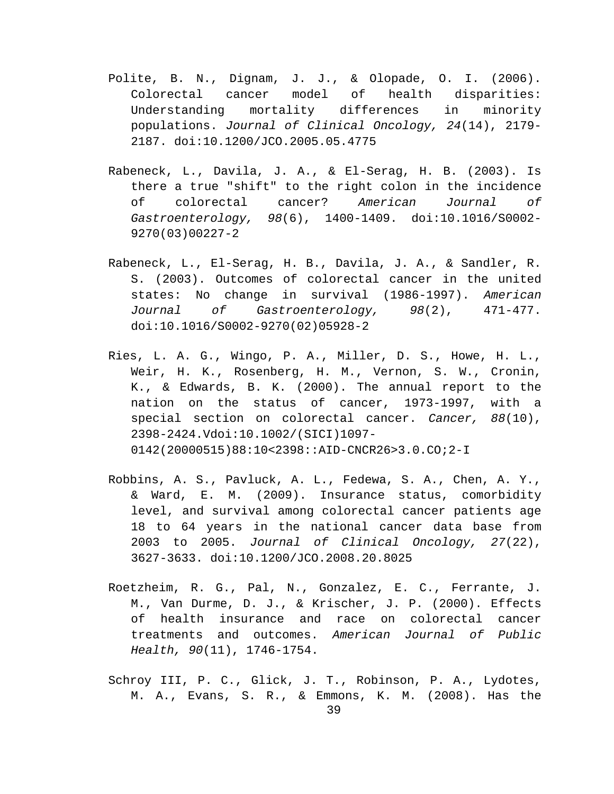- Polite, B. N., Dignam, J. J., & Olopade, O. I. (2006). Colorectal cancer model of health disparities: Understanding mortality differences in minority populations. *Journal of Clinical Oncology, 24*(14), 2179- 2187. doi:10.1200/JCO.2005.05.4775
- Rabeneck, L., Davila, J. A., & El-Serag, H. B. (2003). Is there a true "shift" to the right colon in the incidence of colorectal cancer? *American Journal of Gastroenterology, 98*(6), 1400-1409. doi:10.1016/S0002- 9270(03)00227-2
- Rabeneck, L., El-Serag, H. B., Davila, J. A., & Sandler, R. S. (2003). Outcomes of colorectal cancer in the united states: No change in survival (1986-1997). *American Journal of Gastroenterology, 98*(2), 471-477. doi:10.1016/S0002-9270(02)05928-2
- Ries, L. A. G., Wingo, P. A., Miller, D. S., Howe, H. L., Weir, H. K., Rosenberg, H. M., Vernon, S. W., Cronin, K., & Edwards, B. K. (2000). The annual report to the nation on the status of cancer, 1973-1997, with a special section on colorectal cancer. *Cancer, 88*(10), 2398-2424.Vdoi:10.1002/(SICI)1097- 0142(20000515)88:10<2398::AID-CNCR26>3.0.CO;2-I
- Robbins, A. S., Pavluck, A. L., Fedewa, S. A., Chen, A. Y., & Ward, E. M. (2009). Insurance status, comorbidity level, and survival among colorectal cancer patients age 18 to 64 years in the national cancer data base from 2003 to 2005. *Journal of Clinical Oncology, 27*(22), 3627-3633. doi:10.1200/JCO.2008.20.8025
- Roetzheim, R. G., Pal, N., Gonzalez, E. C., Ferrante, J. M., Van Durme, D. J., & Krischer, J. P. (2000). Effects of health insurance and race on colorectal cancer treatments and outcomes. *American Journal of Public Health, 90*(11), 1746-1754.
- Schroy III, P. C., Glick, J. T., Robinson, P. A., Lydotes, M. A., Evans, S. R., & Emmons, K. M. (2008). Has the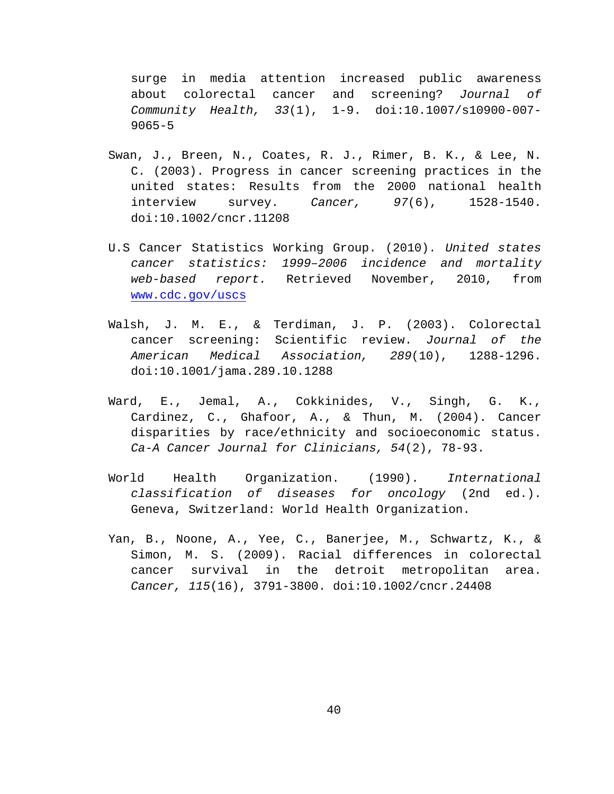surge in media attention increased public awareness about colorectal cancer and screening? *Journal of Community Health, 33*(1), 1-9. doi:10.1007/s10900-007- 9065-5

- Swan, J., Breen, N., Coates, R. J., Rimer, B. K., & Lee, N. C. (2003). Progress in cancer screening practices in the united states: Results from the 2000 national health interview survey. *Cancer, 97*(6), 1528-1540. doi:10.1002/cncr.11208
- U.S Cancer Statistics Working Group. (2010). *United states cancer statistics: 1999–2006 incidence and mortality web-based report.* Retrieved November, 2010, from [www.cdc.gov/uscs](http://www.cdc.gov/uscs)
- Walsh, J. M. E., & Terdiman, J. P. (2003). Colorectal cancer screening: Scientific review. *Journal of the American Medical Association, 289*(10), 1288-1296. doi:10.1001/jama.289.10.1288
- Ward, E., Jemal, A., Cokkinides, V., Singh, G. K., Cardinez, C., Ghafoor, A., & Thun, M. (2004). Cancer disparities by race/ethnicity and socioeconomic status. *Ca-A Cancer Journal for Clinicians, 54*(2), 78-93.
- World Health Organization. (1990). *International classification of diseases for oncology* (2nd ed.). Geneva, Switzerland: World Health Organization.
- Yan, B., Noone, A., Yee, C., Banerjee, M., Schwartz, K., & Simon, M. S. (2009). Racial differences in colorectal cancer survival in the detroit metropolitan area. *Cancer, 115*(16), 3791-3800. doi:10.1002/cncr.24408